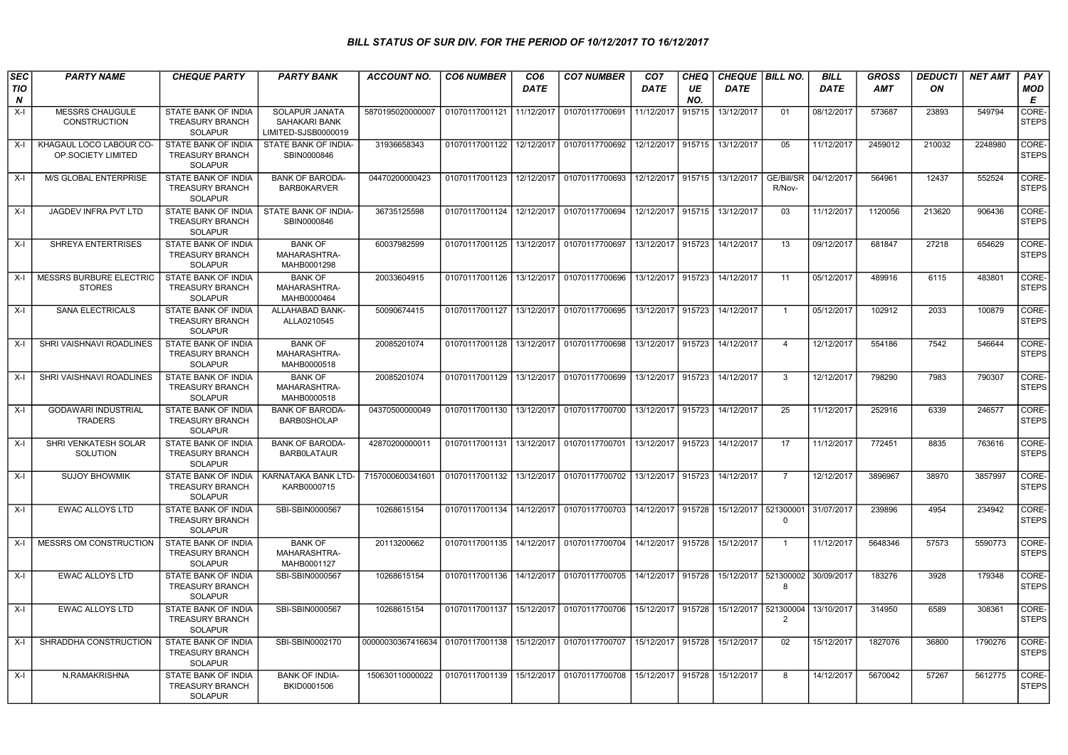## BILL STATUS OF SUR DIV. FOR THE PERIOD OF 10/12/2017 TO 16/12/2017

| <b>SEC</b> | <b>PARTY NAME</b>                             | <b>CHEQUE PARTY</b>                                                    | <b>PARTY BANK</b>                                      | <b>ACCOUNT NO.</b>               | <b>CO6 NUMBER</b> | CO <sub>6</sub> | <b>CO7 NUMBER</b>                            | CO <sub>7</sub><br><b>DATE</b> | CHEQ      | CHEQUE   BILL NO. |                       | <b>BILL</b>          | <b>GROSS</b> | <b>DEDUCTI</b> | <b>NET AMT</b> | <b>PAY</b>            |
|------------|-----------------------------------------------|------------------------------------------------------------------------|--------------------------------------------------------|----------------------------------|-------------------|-----------------|----------------------------------------------|--------------------------------|-----------|-------------------|-----------------------|----------------------|--------------|----------------|----------------|-----------------------|
| TIO<br>N   |                                               |                                                                        |                                                        |                                  |                   | <b>DATE</b>     |                                              |                                | UE<br>NO. | <b>DATE</b>       |                       | <b>DATE</b>          | AMT          | ON             |                | <b>MOD</b><br>E       |
| $X-I$      | <b>MESSRS CHAUGULE</b><br><b>CONSTRUCTION</b> | <b>STATE BANK OF INDIA</b><br><b>TREASURY BRANCH</b><br><b>SOLAPUR</b> | SOLAPUR JANATA<br>SAHAKARI BANK<br>LIMITED-SJSB0000019 | 5870195020000007                 | 01070117001121    | 11/12/2017      | 01070117700691                               | 11/12/2017                     | 915715    | 13/12/2017        | 01                    | 08/12/2017           | 573687       | 23893          | 549794         | CORE-<br><b>STEPS</b> |
| X-I        | KHAGAUL LOCO LABOUR CO-<br>OP.SOCIETY LIMITED | STATE BANK OF INDIA<br>TREASURY BRANCH<br><b>SOLAPUR</b>               | STATE BANK OF INDIA-<br>SBIN0000846                    | 31936658343                      | 01070117001122    | 12/12/2017      | 01070117700692                               | 12/12/2017 915715              |           | 13/12/2017        | 05                    | 11/12/2017           | 2459012      | 210032         | 2248980        | CORE-<br><b>STEPS</b> |
| X-I        | M/S GLOBAL ENTERPRISE                         | STATE BANK OF INDIA<br><b>TREASURY BRANCH</b><br><b>SOLAPUR</b>        | <b>BANK OF BARODA-</b><br><b>BARB0KARVER</b>           | 04470200000423                   | 01070117001123    | 12/12/2017      | 01070117700693                               | 12/12/2017 915715              |           | 13/12/2017        | GE/Bill/SR<br>R/Nov-  | 04/12/2017           | 564961       | 12437          | 552524         | CORE-<br><b>STEPS</b> |
| $X-I$      | <b>JAGDEV INFRA PVT LTD</b>                   | STATE BANK OF INDIA<br><b>TREASURY BRANCH</b><br><b>SOLAPUR</b>        | STATE BANK OF INDIA-<br>SBIN0000846                    | 36735125598                      | 01070117001124    |                 | 12/12/2017 01070117700694                    | 12/12/2017 915715              |           | 13/12/2017        | 03                    | 11/12/2017           | 1120056      | 213620         | 906436         | CORE-<br><b>STEPS</b> |
| $X-I$      | SHREYA ENTERTRISES                            | STATE BANK OF INDIA<br><b>TREASURY BRANCH</b><br><b>SOLAPUR</b>        | <b>BANK OF</b><br>MAHARASHTRA-<br>MAHB0001298          | 60037982599                      | 01070117001125    |                 | 13/12/2017 01070117700697                    | 13/12/2017 915723              |           | 14/12/2017        | 13                    | 09/12/2017           | 681847       | 27218          | 654629         | CORE-<br><b>STEPS</b> |
| X-l        | MESSRS BURBURE ELECTRIC<br><b>STORES</b>      | STATE BANK OF INDIA<br><b>TREASURY BRANCH</b><br>SOLAPUR               | <b>BANK OF</b><br>MAHARASHTRA-<br>MAHB0000464          | 20033604915                      | 01070117001126    |                 | 13/12/2017 01070117700696                    | 13/12/2017 915723              |           | 14/12/2017        | 11                    | 05/12/2017           | 489916       | 6115           | 483801         | CORE-<br><b>STEPS</b> |
| $X-I$      | SANA ELECTRICALS                              | STATE BANK OF INDIA<br><b>TREASURY BRANCH</b><br><b>SOLAPUR</b>        | ALLAHABAD BANK-<br>ALLA0210545                         | 50090674415                      | 01070117001127    |                 | 13/12/2017 01070117700695                    | 13/12/2017 915723              |           | 14/12/2017        | $\mathbf{1}$          | 05/12/2017           | 102912       | 2033           | 100879         | CORE-<br><b>STEPS</b> |
| $X-I$      | SHRI VAISHNAVI ROADLINES                      | STATE BANK OF INDIA<br><b>TREASURY BRANCH</b><br>SOLAPUR               | <b>BANK OF</b><br>MAHARASHTRA-<br>MAHB0000518          | 20085201074                      | 01070117001128    | 13/12/2017      | 01070117700698                               | 13/12/2017 915723              |           | 14/12/2017        | $\overline{4}$        | 12/12/2017           | 554186       | 7542           | 546644         | CORE-<br><b>STEPS</b> |
| $X-I$      | SHRI VAISHNAVI ROADLINES                      | STATE BANK OF INDIA<br><b>TREASURY BRANCH</b><br>SOLAPUR               | <b>BANK OF</b><br>MAHARASHTRA-<br>MAHB0000518          | 20085201074                      | 01070117001129    | 13/12/2017      | 01070117700699                               | 13/12/2017 915723              |           | 14/12/2017        | 3                     | 12/12/2017           | 798290       | 7983           | 790307         | CORE-<br><b>STEPS</b> |
| X-I        | <b>GODAWARI INDUSTRIAL</b><br><b>TRADERS</b>  | STATE BANK OF INDIA<br><b>TREASURY BRANCH</b><br><b>SOLAPUR</b>        | <b>BANK OF BARODA-</b><br>BARB0SHOLAP                  | 04370500000049                   | 01070117001130    |                 | 13/12/2017 01070117700700                    | 13/12/2017 915723              |           | 14/12/2017        | 25                    | 11/12/2017           | 252916       | 6339           | 246577         | CORE-<br><b>STEPS</b> |
| X-I        | SHRI VENKATESH SOLAR<br>SOLUTION              | STATE BANK OF INDIA<br><b>TREASURY BRANCH</b><br>SOLAPUR               | <b>BANK OF BARODA-</b><br><b>BARBOLATAUR</b>           | 42870200000011                   | 01070117001131    |                 | 13/12/2017 01070117700701                    | 13/12/2017 915723              |           | 14/12/2017        | 17                    | 11/12/2017           | 772451       | 8835           | 763616         | CORE-<br><b>STEPS</b> |
| $X-I$      | <b>SUJOY BHOWMIK</b>                          | STATE BANK OF INDIA<br>TREASURY BRANCH<br><b>SOLAPUR</b>               | KARNATAKA BANK LTD-<br>KARB0000715                     | 7157000600341601                 | 01070117001132    |                 | 13/12/2017 01070117700702                    | 13/12/2017 915723              |           | 14/12/2017        | $\overline{7}$        | 12/12/2017           | 3896967      | 38970          | 3857997        | CORE-<br><b>STEPS</b> |
| X-I        | <b>EWAC ALLOYS LTD</b>                        | STATE BANK OF INDIA<br><b>TREASURY BRANCH</b><br><b>SOLAPUR</b>        | SBI-SBIN0000567                                        | 10268615154                      | 01070117001134    | 14/12/2017      | 01070117700703                               | 14/12/2017 915728              |           | 15/12/2017        | 521300001<br>$\Omega$ | 31/07/2017           | 239896       | 4954           | 234942         | CORE-<br><b>STEPS</b> |
| X-I        | MESSRS OM CONSTRUCTION                        | STATE BANK OF INDIA<br><b>TREASURY BRANCH</b><br><b>SOLAPUR</b>        | <b>BANK OF</b><br>MAHARASHTRA-<br>MAHB0001127          | 20113200662                      |                   |                 | 01070117001135   14/12/2017   01070117700704 | 14/12/2017 915728              |           | 15/12/2017        | $\overline{1}$        | 11/12/2017           | 5648346      | 57573          | 5590773        | CORE-<br><b>STEPS</b> |
| X-I        | <b>EWAC ALLOYS LTD</b>                        | STATE BANK OF INDIA<br><b>TREASURY BRANCH</b><br>SOLAPUR               | SBI-SBIN0000567                                        | 10268615154                      | 01070117001136    |                 | 14/12/2017 01070117700705                    | 14/12/2017 915728              |           | 15/12/2017        | R                     | 521300002 30/09/2017 | 183276       | 3928           | 179348         | CORE-<br><b>STEPS</b> |
| X-I        | <b>EWAC ALLOYS LTD</b>                        | STATE BANK OF INDIA<br><b>TREASURY BRANCH</b><br>SOLAPUR               | SBI-SBIN0000567                                        | 10268615154                      | 01070117001137    |                 | 15/12/2017 01070117700706                    | 15/12/2017 915728              |           | 15/12/2017        | 521300004<br>2        | 13/10/2017           | 314950       | 6589           | 308361         | CORE-<br><b>STEPS</b> |
| X-I        | SHRADDHA CONSTRUCTION                         | STATE BANK OF INDIA<br><b>TREASURY BRANCH</b><br>SOLAPUR               | SBI-SBIN0002170                                        | 00000030367416634 01070117001138 |                   |                 | 15/12/2017 01070117700707                    | 15/12/2017 915728              |           | 15/12/2017        | 02                    | 15/12/2017           | 1827076      | 36800          | 1790276        | CORE-<br><b>STEPS</b> |
| X-I        | N.RAMAKRISHNA                                 | STATE BANK OF INDIA<br><b>TREASURY BRANCH</b><br>SOLAPUR               | <b>BANK OF INDIA-</b><br>BKID0001506                   | 150630110000022                  | 01070117001139    |                 | 15/12/2017 01070117700708                    | 15/12/2017 915728              |           | 15/12/2017        | 8                     | 14/12/2017           | 5670042      | 57267          | 5612775        | CORE-<br><b>STEPS</b> |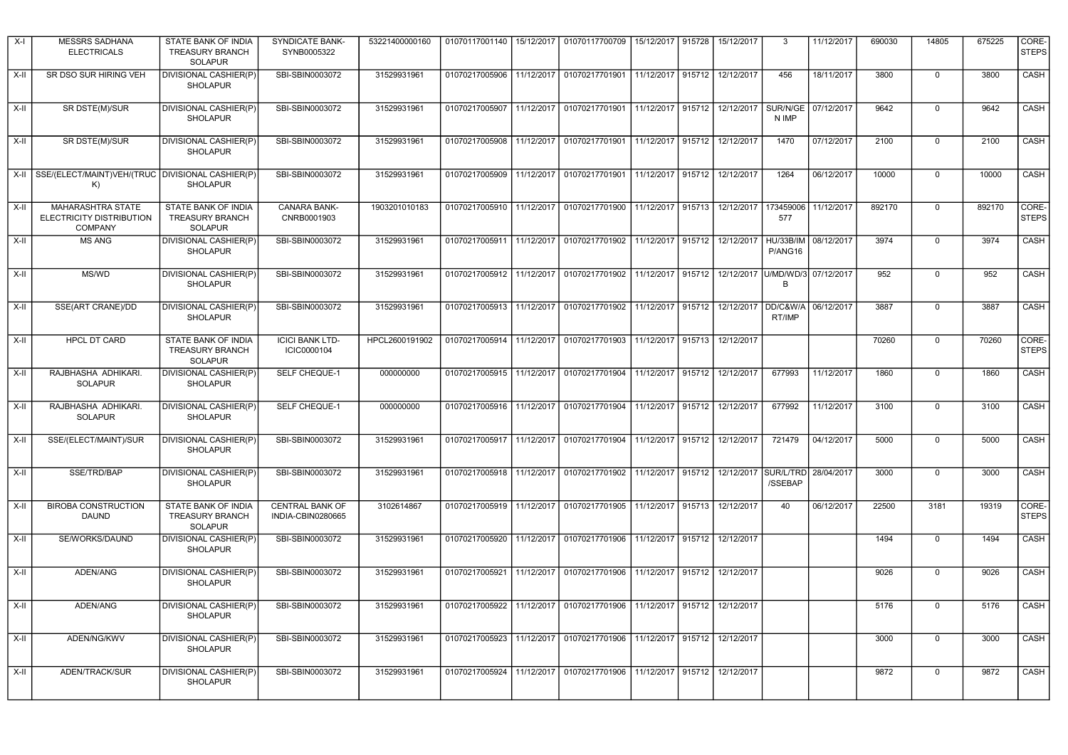| X-I    | <b>MESSRS SADHANA</b><br><b>ELECTRICALS</b>                            | STATE BANK OF INDIA<br><b>TREASURY BRANCH</b><br><b>SOLAPUR</b>        | SYNDICATE BANK-<br>SYNB0005322        | 53221400000160 | 01070117001140   15/12/2017 |            | 01070117700709                                                                             | 15/12/2017 915728 |        | 15/12/2017                   | 3                                | 11/12/2017 | 690030 | 14805          | 675225 | CORE-<br><b>STEPS</b> |
|--------|------------------------------------------------------------------------|------------------------------------------------------------------------|---------------------------------------|----------------|-----------------------------|------------|--------------------------------------------------------------------------------------------|-------------------|--------|------------------------------|----------------------------------|------------|--------|----------------|--------|-----------------------|
| X-II   | SR DSO SUR HIRING VEH                                                  | DIVISIONAL CASHIER(P)<br><b>SHOLAPUR</b>                               | SBI-SBIN0003072                       | 31529931961    | 01070217005906 11/12/2017   |            | 01070217701901                                                                             | 11/12/2017 915712 |        | 12/12/2017                   | 456                              | 18/11/2017 | 3800   | $\Omega$       | 3800   | CASH                  |
| X-II   | SR DSTE(M)/SUR                                                         | DIVISIONAL CASHIER(P)<br><b>SHOLAPUR</b>                               | SBI-SBIN0003072                       | 31529931961    |                             |            | 01070217005907 11/12/2017 01070217701901                                                   | 11/12/2017 915712 |        | 12/12/2017                   | SUR/N/GE<br>N IMP                | 07/12/2017 | 9642   | $\mathbf 0$    | 9642   | CASH                  |
| X-II   | SR DSTE(M)/SUR                                                         | DIVISIONAL CASHIER(P)<br><b>SHOLAPUR</b>                               | SBI-SBIN0003072                       | 31529931961    |                             |            | 01070217005908   11/12/2017   01070217701901                                               |                   |        | 11/12/2017 915712 12/12/2017 | 1470                             | 07/12/2017 | 2100   | $\mathbf 0$    | 2100   | CASH                  |
|        | X-II SSE/(ELECT/MAINT)VEH/(TRUC DIVISIONAL CASHIER(P)<br>K)            | <b>SHOLAPUR</b>                                                        | SBI-SBIN0003072                       | 31529931961    |                             |            | 01070217005909 11/12/2017 01070217701901 11/12/2017 915712 12/12/2017                      |                   |        |                              | 1264                             | 06/12/2017 | 10000  | $\mathbf 0$    | 10000  | CASH                  |
| $X-H$  | <b>MAHARASHTRA STATE</b><br>ELECTRICITY DISTRIBUTION<br><b>COMPANY</b> | <b>STATE BANK OF INDIA</b><br><b>TREASURY BRANCH</b><br><b>SOLAPUR</b> | CANARA BANK-<br>CNRB0001903           | 1903201010183  |                             |            | 01070217005910 11/12/2017 01070217701900 11/12/2017 915713                                 |                   |        | 12/12/2017                   | 173459006<br>577                 | 11/12/2017 | 892170 | $\mathbf 0$    | 892170 | CORE-<br><b>STEPS</b> |
| X-II   | <b>MS ANG</b>                                                          | DIVISIONAL CASHIER(P)<br><b>SHOLAPUR</b>                               | SBI-SBIN0003072                       | 31529931961    |                             |            | 01070217005911   11/12/2017   01070217701902                                               | 11/12/2017 915712 |        | 12/12/2017                   | HU/33B/IM<br>P/ANG16             | 08/12/2017 | 3974   | $\mathbf 0$    | 3974   | CASH                  |
| X-II   | MS/WD                                                                  | DIVISIONAL CASHIER(P)<br><b>SHOLAPUR</b>                               | SBI-SBIN0003072                       | 31529931961    | 01070217005912   11/12/2017 |            | 01070217701902                                                                             | 11/12/2017 915712 |        |                              | 12/12/2017 U/MD/WD/3<br><b>R</b> | 07/12/2017 | 952    | $\mathbf 0$    | 952    | CASH                  |
| X-II   | SSE(ART CRANE)/DD                                                      | DIVISIONAL CASHIER(P)<br><b>SHOLAPUR</b>                               | SBI-SBIN0003072                       | 31529931961    |                             |            | 01070217005913 11/12/2017 01070217701902                                                   | 11/12/2017 915712 |        | 12/12/2017                   | DD/C&W/A<br>RT/IMP               | 06/12/2017 | 3887   | $\mathsf 0$    | 3887   | CASH                  |
| $X-II$ | <b>HPCL DT CARD</b>                                                    | STATE BANK OF INDIA<br><b>TREASURY BRANCH</b><br><b>SOLAPUR</b>        | <b>ICICI BANK LTD-</b><br>ICIC0000104 | HPCL2600191902 |                             |            | 01070217005914 11/12/2017 01070217701903                                                   | 11/12/2017 915713 |        | 12/12/2017                   |                                  |            | 70260  | $\mathsf 0$    | 70260  | CORE-<br><b>STEPS</b> |
| X-II   | RAJBHASHA ADHIKARI.<br><b>SOLAPUR</b>                                  | DIVISIONAL CASHIER(P)<br><b>SHOLAPUR</b>                               | SELF CHEQUE-1                         | 000000000      |                             |            | 01070217005915 11/12/2017 01070217701904                                                   | 11/12/2017 915712 |        | 12/12/2017                   | 677993                           | 11/12/2017 | 1860   | $\Omega$       | 1860   | CASH                  |
| X-II   | RAJBHASHA ADHIKARI.<br>SOLAPUR                                         | DIVISIONAL CASHIER(P)<br><b>SHOLAPUR</b>                               | SELF CHEQUE-1                         | 000000000      |                             |            | 01070217005916   11/12/2017   01070217701904                                               | 11/12/2017 915712 |        | 12/12/2017                   | 677992                           | 11/12/2017 | 3100   | 0              | 3100   | <b>CASH</b>           |
| $X-II$ | SSE/(ELECT/MAINT)/SUR                                                  | DIVISIONAL CASHIER(P)<br>SHOLAPUR                                      | SBI-SBIN0003072                       | 31529931961    |                             |            | 01070217005917 11/12/2017 01070217701904 11/12/2017 915712                                 |                   |        | 12/12/2017                   | 721479                           | 04/12/2017 | 5000   | $\overline{0}$ | 5000   | CASH                  |
| $X-H$  | SSE/TRD/BAP                                                            | DIVISIONAL CASHIER(P)<br>SHOLAPUR                                      | SBI-SBIN0003072                       | 31529931961    |                             |            | 01070217005918 11/12/2017 01070217701902 11/12/2017 915712 12/12/2017 SUR/L/TRD 28/04/2017 |                   |        |                              | /SSEBAP                          |            | 3000   | $\mathbf 0$    | 3000   | CASH                  |
| X-II   | <b>BIROBA CONSTRUCTION</b><br><b>DAUND</b>                             | STATE BANK OF INDIA<br><b>TREASURY BRANCH</b><br><b>SOLAPUR</b>        | CENTRAL BANK OF<br>INDIA-CBIN0280665  | 3102614867     |                             |            | 01070217005919   11/12/2017   01070217701905                                               | 11/12/2017 915713 |        | 12/12/2017                   | 40                               | 06/12/2017 | 22500  | 3181           | 19319  | CORE-<br><b>STEPS</b> |
| X-II   | SE/WORKS/DAUND                                                         | DIVISIONAL CASHIER(P)<br><b>SHOLAPUR</b>                               | SBI-SBIN0003072                       | 31529931961    |                             |            | 01070217005920   11/12/2017   01070217701906                                               | 11/12/2017 915712 |        | 12/12/2017                   |                                  |            | 1494   | $\mathbf 0$    | 1494   | CASH                  |
| X-II   | ADEN/ANG                                                               | DIVISIONAL CASHIER(P)<br><b>SHOLAPUR</b>                               | SBI-SBIN0003072                       | 31529931961    | 01070217005921              | 11/12/2017 | 01070217701906                                                                             | 11/12/2017        | 915712 | 12/12/2017                   |                                  |            | 9026   | $\mathbf 0$    | 9026   | CASH                  |
| $X-II$ | ADEN/ANG                                                               | DIVISIONAL CASHIER(P)<br><b>SHOLAPUR</b>                               | SBI-SBIN0003072                       | 31529931961    |                             |            | 01070217005922 11/12/2017 01070217701906                                                   | 11/12/2017 915712 |        | 12/12/2017                   |                                  |            | 5176   | $\mathbf 0$    | 5176   | CASH                  |
| X-II   | ADEN/NG/KWV                                                            | DIVISIONAL CASHIER(P)<br><b>SHOLAPUR</b>                               | SBI-SBIN0003072                       | 31529931961    | 01070217005923              | 11/12/2017 | 01070217701906                                                                             | 11/12/2017 915712 |        | 12/12/2017                   |                                  |            | 3000   | $\mathbf 0$    | 3000   | CASH                  |
| X-II   | ADEN/TRACK/SUR                                                         | DIVISIONAL CASHIER(P)<br><b>SHOLAPUR</b>                               | SBI-SBIN0003072                       | 31529931961    | 01070217005924 11/12/2017   |            | 01070217701906                                                                             | 11/12/2017        | 915712 | 12/12/2017                   |                                  |            | 9872   | $\Omega$       | 9872   | CASH                  |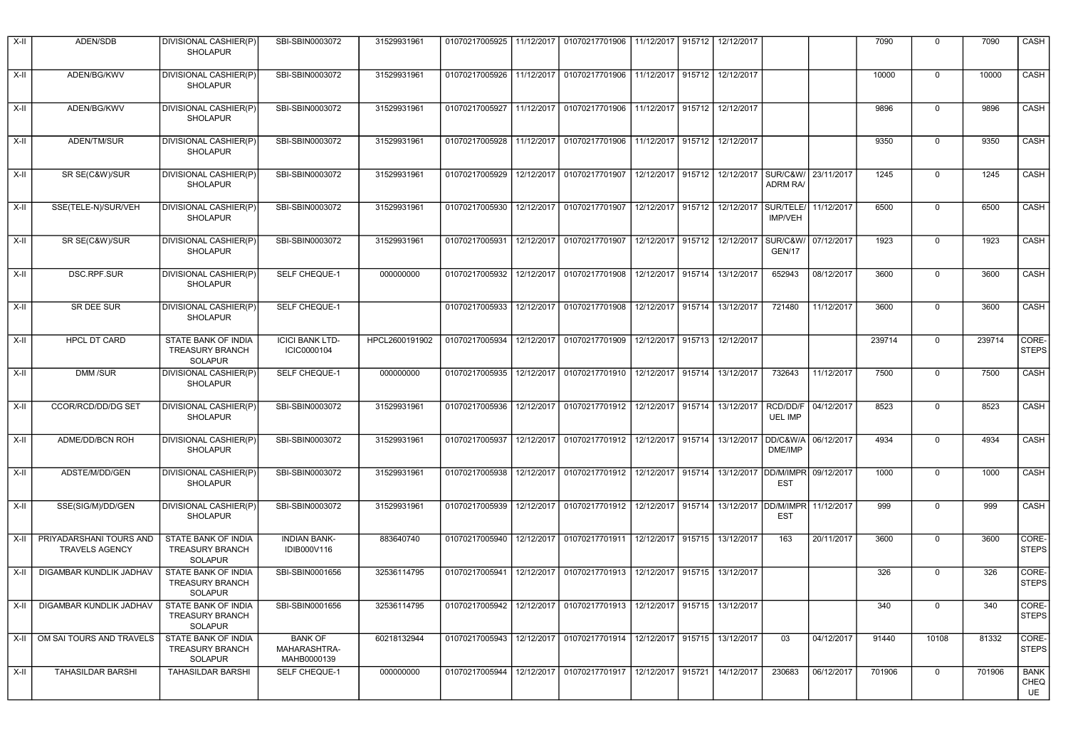| $X-H$  | ADEN/SDB                                         | DIVISIONAL CASHIER(P)<br><b>SHOLAPUR</b>                               | SBI-SBIN0003072                               | 31529931961    | 01070217005925 | 11/12/2017 | 01070217701906                              | 11/12/2017        | 915712 | 12/12/2017                   |                                        |            | 7090   | $\Omega$    | 7090   | CASH                             |
|--------|--------------------------------------------------|------------------------------------------------------------------------|-----------------------------------------------|----------------|----------------|------------|---------------------------------------------|-------------------|--------|------------------------------|----------------------------------------|------------|--------|-------------|--------|----------------------------------|
| $X-H$  | ADEN/BG/KWV                                      | DIVISIONAL CASHIER(P)<br><b>SHOLAPUR</b>                               | SBI-SBIN0003072                               | 31529931961    | 01070217005926 | 11/12/2017 | 01070217701906                              |                   |        | 11/12/2017 915712 12/12/2017 |                                        |            | 10000  | $\mathbf 0$ | 10000  | <b>CASH</b>                      |
| $X-II$ | ADEN/BG/KWV                                      | DIVISIONAL CASHIER(P)<br><b>SHOLAPUR</b>                               | SBI-SBIN0003072                               | 31529931961    | 01070217005927 |            | 11/12/2017 01070217701906                   | 11/12/2017 915712 |        | 12/12/2017                   |                                        |            | 9896   | $\Omega$    | 9896   | CASH                             |
| $X-II$ | ADEN/TM/SUR                                      | DIVISIONAL CASHIER(P)<br><b>SHOLAPUR</b>                               | SBI-SBIN0003072                               | 31529931961    |                |            | 01070217005928 11/12/2017 01070217701906    |                   |        | 11/12/2017 915712 12/12/2017 |                                        |            | 9350   | $\mathbf 0$ | 9350   | CASH                             |
| X-II   | SR SE(C&W)/SUR                                   | DIVISIONAL CASHIER(P)<br><b>SHOLAPUR</b>                               | SBI-SBIN0003072                               | 31529931961    | 01070217005929 |            | 12/12/2017 01070217701907                   | 12/12/2017 915712 |        | 12/12/2017                   | SUR/C&W/ 23/11/2017<br><b>ADRM RA/</b> |            | 1245   | $\mathbf 0$ | 1245   | CASH                             |
| $X-II$ | SSE(TELE-N)/SUR/VEH                              | DIVISIONAL CASHIER(P)<br><b>SHOLAPUR</b>                               | SBI-SBIN0003072                               | 31529931961    | 01070217005930 | 12/12/2017 | 01070217701907                              |                   |        | 12/12/2017 915712 12/12/2017 | SUR/TELE/<br><b>IMP/VEH</b>            | 11/12/2017 | 6500   | $\mathbf 0$ | 6500   | CASH                             |
| X-II   | SR SE(C&W)/SUR                                   | DIVISIONAL CASHIER(P)<br><b>SHOLAPUR</b>                               | SBI-SBIN0003072                               | 31529931961    | 01070217005931 | 12/12/2017 | 01070217701907                              | 12/12/2017        | 915712 | 12/12/2017                   | SUR/C&W/<br>GEN/17                     | 07/12/2017 | 1923   | $\mathbf 0$ | 1923   | CASH                             |
| $X-II$ | DSC.RPF.SUR                                      | DIVISIONAL CASHIER(P)<br><b>SHOLAPUR</b>                               | SELF CHEQUE-1                                 | 000000000      | 01070217005932 | 12/12/2017 | 01070217701908                              | 12/12/2017 915714 |        | 13/12/2017                   | 652943                                 | 08/12/2017 | 3600   | $\mathbf 0$ | 3600   | CASH                             |
| X-II   | SR DEE SUR                                       | DIVISIONAL CASHIER(P)<br><b>SHOLAPUR</b>                               | SELF CHEQUE-1                                 |                | 01070217005933 | 12/12/2017 | 01070217701908                              | 12/12/2017 915714 |        | 13/12/2017                   | 721480                                 | 11/12/2017 | 3600   | $\mathbf 0$ | 3600   | CASH                             |
| $X-II$ | HPCL DT CARD                                     | STATE BANK OF INDIA<br><b>TREASURY BRANCH</b><br><b>SOLAPUR</b>        | <b>ICICI BANK LTD-</b><br>ICIC0000104         | HPCL2600191902 | 01070217005934 | 12/12/2017 | 01070217701909                              | 12/12/2017 915713 |        | 12/12/2017                   |                                        |            | 239714 | $\mathbf 0$ | 239714 | CORE-<br><b>STEPS</b>            |
| X-II   | DMM /SUR                                         | DIVISIONAL CASHIER(P)<br><b>SHOLAPUR</b>                               | SELF CHEQUE-1                                 | 000000000      | 01070217005935 | 12/12/2017 | 01070217701910                              | 12/12/2017 915714 |        | 13/12/2017                   | 732643                                 | 11/12/2017 | 7500   | $\mathbf 0$ | 7500   | <b>CASH</b>                      |
| X-II   | CCOR/RCD/DD/DG SET                               | DIVISIONAL CASHIER(P)<br><b>SHOLAPUR</b>                               | SBI-SBIN0003072                               | 31529931961    | 01070217005936 | 12/12/2017 | 01070217701912                              | 12/12/2017 915714 |        | 13/12/2017                   | RCD/DD/F<br><b>UEL IMP</b>             | 04/12/2017 | 8523   | 0           | 8523   | <b>CASH</b>                      |
| $X-H$  | ADME/DD/BCN ROH                                  | DIVISIONAL CASHIER(P)<br><b>SHOLAPUR</b>                               | SBI-SBIN0003072                               | 31529931961    | 01070217005937 |            | 12/12/2017 01070217701912                   | 12/12/2017 915714 |        | 13/12/2017                   | DD/C&W/A<br>DME/IMP                    | 06/12/2017 | 4934   | $\Omega$    | 4934   | CASH                             |
| $X-II$ | ADSTE/M/DD/GEN                                   | DIVISIONAL CASHIER(P)<br><b>SHOLAPUR</b>                               | SBI-SBIN0003072                               | 31529931961    | 01070217005938 |            | 12/12/2017 01070217701912                   | 12/12/2017 915714 |        | 13/12/2017                   | DD/M/IMPR<br><b>EST</b>                | 09/12/2017 | 1000   | $\Omega$    | 1000   | CASH                             |
| $X-II$ | SSE(SIG/M)/DD/GEN                                | DIVISIONAL CASHIER(P)<br><b>SHOLAPUR</b>                               | SBI-SBIN0003072                               | 31529931961    | 01070217005939 |            | 12/12/2017 01070217701912                   | 12/12/2017 915714 |        |                              | 13/12/2017 DD/M/IMPR<br><b>EST</b>     | 11/12/2017 | 999    | $\Omega$    | 999    | CASH                             |
| X-II   | PRIYADARSHANI TOURS AND<br><b>TRAVELS AGENCY</b> | STATE BANK OF INDIA<br><b>TREASURY BRANCH</b><br><b>SOLAPUR</b>        | <b>INDIAN BANK-</b><br>IDIB000V116            | 883640740      | 01070217005940 | 12/12/2017 | 01070217701911                              | 12/12/2017 915715 |        | 13/12/2017                   | 163                                    | 20/11/2017 | 3600   | $\Omega$    | 3600   | CORE-<br><b>STEPS</b>            |
| X-II   | DIGAMBAR KUNDLIK JADHAV                          | STATE BANK OF INDIA<br><b>TREASURY BRANCH</b><br><b>SOLAPUR</b>        | SBI-SBIN0001656                               | 32536114795    | 01070217005941 | 12/12/2017 | 01070217701913                              | 12/12/2017 915715 |        | 13/12/2017                   |                                        |            | 326    | $\Omega$    | 326    | CORE-<br><b>STEPS</b>            |
| X-II   | DIGAMBAR KUNDLIK JADHAV                          | STATE BANK OF INDIA<br><b>TREASURY BRANCH</b><br><b>SOLAPUR</b>        | SBI-SBIN0001656                               | 32536114795    | 01070217005942 |            | 12/12/2017 01070217701913 12/12/2017 915715 |                   |        | 13/12/2017                   |                                        |            | 340    | $\Omega$    | 340    | CORE-<br><b>STEPS</b>            |
| X-II   | OM SAI TOURS AND TRAVELS                         | <b>STATE BANK OF INDIA</b><br><b>TREASURY BRANCH</b><br><b>SOLAPUR</b> | <b>BANK OF</b><br>MAHARASHTRA-<br>MAHB0000139 | 60218132944    | 01070217005943 |            | 12/12/2017 01070217701914 12/12/2017 915715 |                   |        | 13/12/2017                   | 03                                     | 04/12/2017 | 91440  | 10108       | 81332  | CORE-<br><b>STEPS</b>            |
| X-II   | <b>TAHASILDAR BARSHI</b>                         | <b>TAHASILDAR BARSHI</b>                                               | <b>SELF CHEQUE-1</b>                          | 000000000      | 01070217005944 |            | 12/12/2017 01070217701917 12/12/2017 915721 |                   |        | 14/12/2017                   | 230683                                 | 06/12/2017 | 701906 | $\Omega$    | 701906 | <b>BANK</b><br><b>CHEQ</b><br>UE |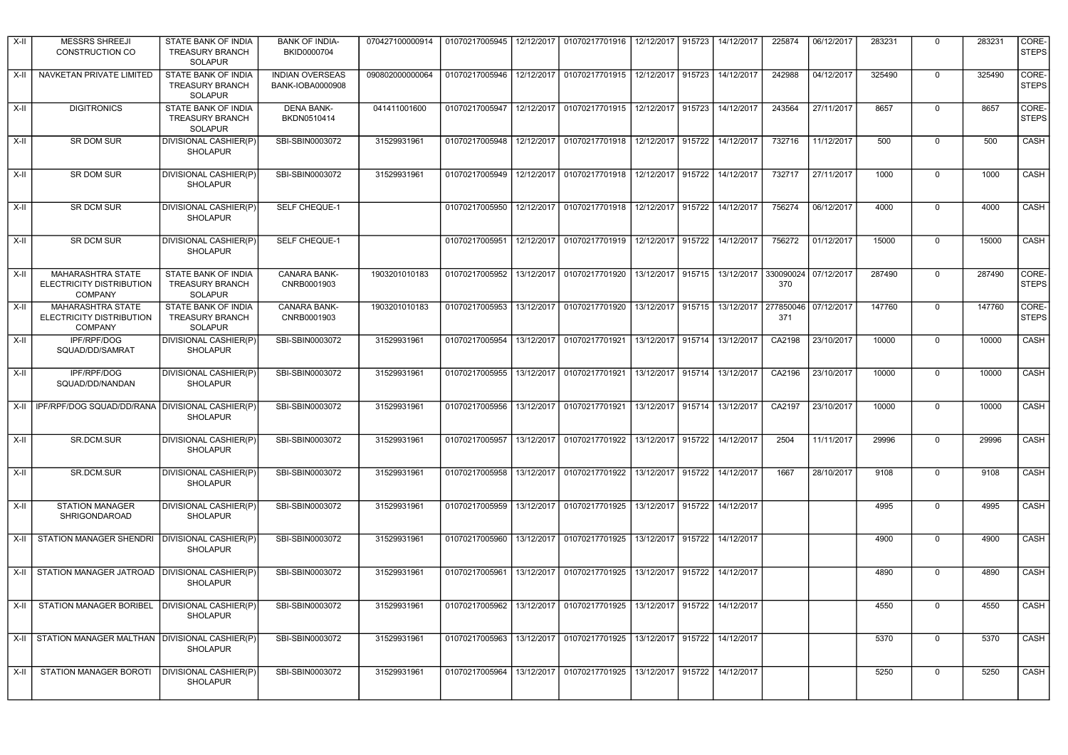| X-II   | <b>MESSRS SHREEJI</b><br><b>CONSTRUCTION CO</b>                 | STATE BANK OF INDIA<br><b>TREASURY BRANCH</b><br><b>SOLAPUR</b> | <b>BANK OF INDIA-</b><br>BKID0000704       | 070427100000914 | 01070217005945   12/12/2017 |            | 01070217701916                                                     | 12/12/2017 915723 |        | 14/12/2017 | 225874           | 06/12/2017 | 283231 | $\Omega$    | 283231 | CORE-<br><b>STEPS</b> |
|--------|-----------------------------------------------------------------|-----------------------------------------------------------------|--------------------------------------------|-----------------|-----------------------------|------------|--------------------------------------------------------------------|-------------------|--------|------------|------------------|------------|--------|-------------|--------|-----------------------|
| X-II   | NAVKETAN PRIVATE LIMITED                                        | STATE BANK OF INDIA<br><b>TREASURY BRANCH</b><br><b>SOLAPUR</b> | <b>INDIAN OVERSEAS</b><br>BANK-IOBA0000908 | 090802000000064 | 01070217005946              | 12/12/2017 | 01070217701915                                                     | 12/12/2017        | 915723 | 14/12/2017 | 242988           | 04/12/2017 | 325490 | $\mathbf 0$ | 325490 | CORE-<br><b>STEPS</b> |
| X-II   | <b>DIGITRONICS</b>                                              | STATE BANK OF INDIA<br><b>TREASURY BRANCH</b><br><b>SOLAPUR</b> | <b>DENA BANK-</b><br>BKDN0510414           | 041411001600    |                             |            | 01070217005947   12/12/2017   01070217701915                       | 12/12/2017 915723 |        | 14/12/2017 | 243564           | 27/11/2017 | 8657   | $\Omega$    | 8657   | CORE-<br><b>STEPS</b> |
| $X-H$  | SR DOM SUR                                                      | DIVISIONAL CASHIER(P)<br><b>SHOLAPUR</b>                        | SBI-SBIN0003072                            | 31529931961     |                             |            | 01070217005948   12/12/2017   01070217701918   12/12/2017   915722 |                   |        | 14/12/2017 | 732716           | 11/12/2017 | 500    | $\Omega$    | 500    | CASH                  |
| X-II   | <b>SR DOM SUR</b>                                               | DIVISIONAL CASHIER(P)<br><b>SHOLAPUR</b>                        | SBI-SBIN0003072                            | 31529931961     |                             |            | 01070217005949   12/12/2017   01070217701918   12/12/2017   915722 |                   |        | 14/12/2017 | 732717           | 27/11/2017 | 1000   | $\Omega$    | 1000   | CASH                  |
| X-II   | SR DCM SUR                                                      | DIVISIONAL CASHIER(P)<br><b>SHOLAPUR</b>                        | SELF CHEQUE-1                              |                 | 01070217005950              |            | 12/12/2017 01070217701918 12/12/2017 915722                        |                   |        | 14/12/2017 | 756274           | 06/12/2017 | 4000   | $\mathbf 0$ | 4000   | CASH                  |
| X-II   | <b>SR DCM SUR</b>                                               | DIVISIONAL CASHIER(P)<br><b>SHOLAPUR</b>                        | SELF CHEQUE-1                              |                 | 01070217005951              |            | 12/12/2017 01070217701919                                          | 12/12/2017        | 915722 | 14/12/2017 | 756272           | 01/12/2017 | 15000  | $\Omega$    | 15000  | CASH                  |
| $X-H$  | MAHARASHTRA STATE<br>ELECTRICITY DISTRIBUTION<br><b>COMPANY</b> | STATE BANK OF INDIA<br><b>TREASURY BRANCH</b><br><b>SOLAPUR</b> | CANARA BANK-<br>CNRB0001903                | 1903201010183   | 01070217005952 13/12/2017   |            | 01070217701920                                                     | 13/12/2017        | 915715 | 13/12/2017 | 330090024<br>370 | 07/12/2017 | 287490 | $\mathbf 0$ | 287490 | CORE-<br><b>STEPS</b> |
| $X-II$ | MAHARASHTRA STATE<br>ELECTRICITY DISTRIBUTION<br><b>COMPANY</b> | STATE BANK OF INDIA<br><b>TREASURY BRANCH</b><br><b>SOLAPUR</b> | CANARA BANK-<br>CNRB0001903                | 1903201010183   | 01070217005953              | 13/12/2017 | 01070217701920                                                     | 13/12/2017        | 915715 | 13/12/2017 | 277850046<br>371 | 07/12/2017 | 147760 | 0           | 147760 | CORE-<br><b>STEPS</b> |
| $X-H$  | IPF/RPF/DOG<br>SQUAD/DD/SAMRAT                                  | DIVISIONAL CASHIER(P)<br><b>SHOLAPUR</b>                        | SBI-SBIN0003072                            | 31529931961     | 01070217005954              | 13/12/2017 | 01070217701921                                                     | 13/12/2017 915714 |        | 13/12/2017 | CA2198           | 23/10/2017 | 10000  | $\mathbf 0$ | 10000  | CASH                  |
| $X-H$  | IPF/RPF/DOG<br>SQUAD/DD/NANDAN                                  | DIVISIONAL CASHIER(P)<br><b>SHOLAPUR</b>                        | SBI-SBIN0003072                            | 31529931961     | 01070217005955              | 13/12/2017 | 01070217701921                                                     | 13/12/2017        | 915714 | 13/12/2017 | CA2196           | 23/10/2017 | 10000  | $\Omega$    | 10000  | CASH                  |
| $X-H$  | IPF/RPF/DOG SQUAD/DD/RANA   DIVISIONAL CASHIER(P)               | <b>SHOLAPUR</b>                                                 | SBI-SBIN0003072                            | 31529931961     |                             |            | 01070217005956 13/12/2017 01070217701921                           | 13/12/2017 915714 |        | 13/12/2017 | CA2197           | 23/10/2017 | 10000  | $\Omega$    | 10000  | <b>CASH</b>           |
| $X-H$  | <b>SR.DCM.SUR</b>                                               | DIVISIONAL CASHIER(P)<br><b>SHOLAPUR</b>                        | SBI-SBIN0003072                            | 31529931961     | 01070217005957              |            | 13/12/2017 01070217701922                                          | 13/12/2017 915722 |        | 14/12/2017 | 2504             | 11/11/2017 | 29996  | $\mathbf 0$ | 29996  | CASH                  |
| $X-H$  | SR.DCM.SUR                                                      | DIVISIONAL CASHIER(P)<br><b>SHOLAPUR</b>                        | SBI-SBIN0003072                            | 31529931961     | 01070217005958              |            | 13/12/2017 01070217701922                                          | 13/12/2017 915722 |        | 14/12/2017 | 1667             | 28/10/2017 | 9108   | $\Omega$    | 9108   | CASH                  |
| X-II   | <b>STATION MANAGER</b><br>SHRIGONDAROAD                         | DIVISIONAL CASHIER(P)<br><b>SHOLAPUR</b>                        | SBI-SBIN0003072                            | 31529931961     | 01070217005959              |            | 13/12/2017 01070217701925                                          | 13/12/2017        | 915722 | 14/12/2017 |                  |            | 4995   | $\mathbf 0$ | 4995   | CASH                  |
| X-II   | STATION MANAGER SHENDRI                                         | DIVISIONAL CASHIER(P)<br><b>SHOLAPUR</b>                        | SBI-SBIN0003072                            | 31529931961     |                             |            | 01070217005960   13/12/2017   01070217701925                       | 13/12/2017 915722 |        | 14/12/2017 |                  |            | 4900   | $\Omega$    | 4900   | <b>CASH</b>           |
| X-II   | STATION MANAGER JATROAD   DIVISIONAL CASHIER(P)                 | <b>SHOLAPUR</b>                                                 | SBI-SBIN0003072                            | 31529931961     | 01070217005961              | 13/12/2017 | 01070217701925                                                     | 13/12/2017        | 915722 | 14/12/2017 |                  |            | 4890   | $\mathbf 0$ | 4890   | CASH                  |
| $X-H$  | STATION MANAGER BORIBEL                                         | <b>DIVISIONAL CASHIER(P)</b><br><b>SHOLAPUR</b>                 | SBI-SBIN0003072                            | 31529931961     | 01070217005962              |            | 13/12/2017 01070217701925                                          | 13/12/2017 915722 |        | 14/12/2017 |                  |            | 4550   | $\Omega$    | 4550   | CASH                  |
| X-II   | STATION MANAGER MALTHAN   DIVISIONAL CASHIER(P)                 | <b>SHOLAPUR</b>                                                 | SBI-SBIN0003072                            | 31529931961     | 01070217005963              |            | 13/12/2017 01070217701925                                          | 13/12/2017        | 915722 | 14/12/2017 |                  |            | 5370   | 0           | 5370   | CASH                  |
| X-II   | STATION MANAGER BOROTI                                          | DIVISIONAL CASHIER(P)<br><b>SHOLAPUR</b>                        | SBI-SBIN0003072                            | 31529931961     | 01070217005964              | 13/12/2017 | 01070217701925                                                     | 13/12/2017        | 915722 | 14/12/2017 |                  |            | 5250   | $\Omega$    | 5250   | CASH                  |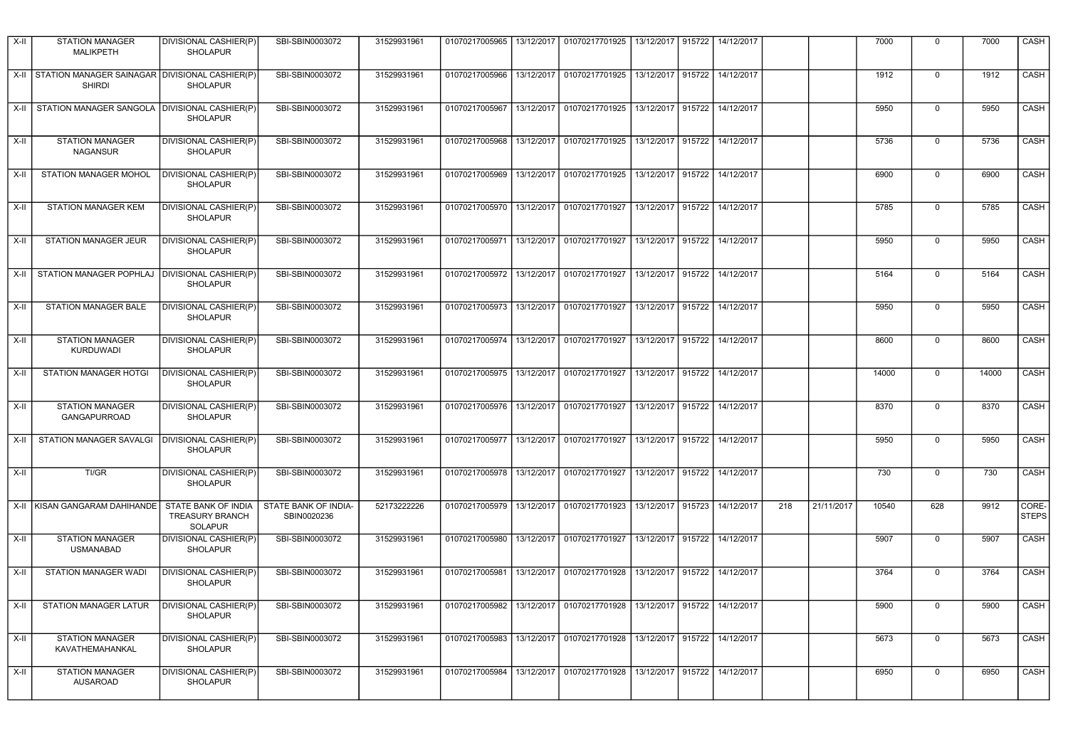| $X-II$ | <b>STATION MANAGER</b><br><b>MALIKPETH</b>                           | DIVISIONAL CASHIER(P)<br><b>SHOLAPUR</b>                        | SBI-SBIN0003072                     | 31529931961  | 01070217005965 |            | 13/12/2017   01070217701925                            | 13/12/2017   915722 |        | 14/12/2017                   |     |            | 7000  | 0              | 7000  | CASH                  |
|--------|----------------------------------------------------------------------|-----------------------------------------------------------------|-------------------------------------|--------------|----------------|------------|--------------------------------------------------------|---------------------|--------|------------------------------|-----|------------|-------|----------------|-------|-----------------------|
|        | X-II STATION MANAGER SAINAGAR DIVISIONAL CASHIER(P)<br><b>SHIRDI</b> | <b>SHOLAPUR</b>                                                 | SBI-SBIN0003072                     | 31529931961  | 01070217005966 |            | 13/12/2017 01070217701925                              |                     |        | 13/12/2017 915722 14/12/2017 |     |            | 1912  | $\pmb{0}$      | 1912  | <b>CASH</b>           |
|        | X-II STATION MANAGER SANGOLA DIVISIONAL CASHIER(P)                   | <b>SHOLAPUR</b>                                                 | SBI-SBIN0003072                     | 31529931961  | 01070217005967 |            | 13/12/2017 01070217701925                              | 13/12/2017 915722   |        | 14/12/2017                   |     |            | 5950  | $\Omega$       | 5950  | CASH                  |
| $X-II$ | <b>STATION MANAGER</b><br><b>NAGANSUR</b>                            | <b>DIVISIONAL CASHIER(P)</b><br><b>SHOLAPUR</b>                 | SBI-SBIN0003072                     | 31529931961  | 01070217005968 |            | 13/12/2017 01070217701925 13/12/2017 915722 14/12/2017 |                     |        |                              |     |            | 5736  | $\Omega$       | 5736  | CASH                  |
| $X-II$ | <b>STATION MANAGER MOHOL</b>                                         | DIVISIONAL CASHIER(P)<br><b>SHOLAPUR</b>                        | SBI-SBIN0003072                     | 31529931961  | 01070217005969 |            | 13/12/2017 01070217701925 13/12/2017 915722            |                     |        | 14/12/2017                   |     |            | 6900  | $\Omega$       | 6900  | CASH                  |
| $X-II$ | <b>STATION MANAGER KEM</b>                                           | DIVISIONAL CASHIER(P)<br><b>SHOLAPUR</b>                        | SBI-SBIN0003072                     | 31529931961  | 01070217005970 |            | 13/12/2017 01070217701927                              |                     |        | 13/12/2017 915722 14/12/2017 |     |            | 5785  | $\Omega$       | 5785  | <b>CASH</b>           |
| $X-II$ | <b>STATION MANAGER JEUR</b>                                          | DIVISIONAL CASHIER(P)<br><b>SHOLAPUR</b>                        | SBI-SBIN0003072                     | 31529931961  | 01070217005971 |            | 13/12/2017 01070217701927                              | 13/12/2017 915722   |        | 14/12/2017                   |     |            | 5950  | $\Omega$       | 5950  | CASH                  |
| X-II   | STATION MANAGER POPHLAJ                                              | <b>DIVISIONAL CASHIER(P)</b><br><b>SHOLAPUR</b>                 | SBI-SBIN0003072                     | 31529931961  | 01070217005972 |            | 13/12/2017 01070217701927                              | 13/12/2017 915722   |        | 14/12/2017                   |     |            | 5164  | $\Omega$       | 5164  | <b>CASH</b>           |
| $X-II$ | <b>STATION MANAGER BALE</b>                                          | DIVISIONAL CASHIER(P)<br><b>SHOLAPUR</b>                        | SBI-SBIN0003072                     | 31529931961  | 01070217005973 |            | 13/12/2017 01070217701927                              | 13/12/2017 915722   |        | 14/12/2017                   |     |            | 5950  | $\Omega$       | 5950  | CASH                  |
| $X-II$ | <b>STATION MANAGER</b><br><b>KURDUWADI</b>                           | DIVISIONAL CASHIER(P)<br><b>SHOLAPUR</b>                        | SBI-SBIN0003072                     | 31529931961  | 01070217005974 |            | 13/12/2017 01070217701927                              | 13/12/2017 915722   |        | 14/12/2017                   |     |            | 8600  | $\Omega$       | 8600  | <b>CASH</b>           |
| $X-II$ | STATION MANAGER HOTGI                                                | DIVISIONAL CASHIER(P)<br><b>SHOLAPUR</b>                        | SBI-SBIN0003072                     | 31529931961  | 01070217005975 |            | 13/12/2017 01070217701927                              | 13/12/2017 915722   |        | 14/12/2017                   |     |            | 14000 | $\Omega$       | 14000 | <b>CASH</b>           |
| $X-II$ | <b>STATION MANAGER</b><br><b>GANGAPURROAD</b>                        | DIVISIONAL CASHIER(P)<br><b>SHOLAPUR</b>                        | SBI-SBIN0003072                     | 31529931961  |                |            | 01070217005976 13/12/2017 01070217701927               | 13/12/2017 915722   |        | 14/12/2017                   |     |            | 8370  | $\Omega$       | 8370  | CASH                  |
| X-II   | STATION MANAGER SAVALGI   DIVISIONAL CASHIER(P)                      | <b>SHOLAPUR</b>                                                 | SBI-SBIN0003072                     | 31529931961  | 01070217005977 |            | 13/12/2017 01070217701927                              | 13/12/2017 915722   |        | 14/12/2017                   |     |            | 5950  | $\overline{0}$ | 5950  | CASH                  |
| $X-H$  | TI/GR                                                                | DIVISIONAL CASHIER(P)<br><b>SHOLAPUR</b>                        | SBI-SBIN0003072                     | 31529931961  | 01070217005978 | 13/12/2017 | 01070217701927                                         | 13/12/2017          | 915722 | 14/12/2017                   |     |            | 730   | $\mathbf 0$    | 730   | CASH                  |
|        | X-II KISAN GANGARAM DAHIHANDE                                        | STATE BANK OF INDIA<br><b>TREASURY BRANCH</b><br><b>SOLAPUR</b> | STATE BANK OF INDIA-<br>SBIN0020236 | 521732222226 | 01070217005979 | 13/12/2017 | 01070217701923                                         | 13/12/2017          | 915723 | 14/12/2017                   | 218 | 21/11/2017 | 10540 | 628            | 9912  | CORE-<br><b>STEPS</b> |
| $X-H$  | <b>STATION MANAGER</b><br><b>USMANABAD</b>                           | DIVISIONAL CASHIER(P)<br><b>SHOLAPUR</b>                        | SBI-SBIN0003072                     | 31529931961  | 01070217005980 | 13/12/2017 | 01070217701927                                         | 13/12/2017          | 915722 | 14/12/2017                   |     |            | 5907  | $\pmb{0}$      | 5907  | <b>CASH</b>           |
| $X-II$ | STATION MANAGER WADI                                                 | DIVISIONAL CASHIER(P)<br><b>SHOLAPUR</b>                        | SBI-SBIN0003072                     | 31529931961  | 01070217005981 | 13/12/2017 | 01070217701928                                         | 13/12/2017          | 915722 | 14/12/2017                   |     |            | 3764  | $\overline{0}$ | 3764  | CASH                  |
| $X-II$ | <b>STATION MANAGER LATUR</b>                                         | DIVISIONAL CASHIER(P)<br>SHOLAPUR                               | SBI-SBIN0003072                     | 31529931961  | 01070217005982 | 13/12/2017 | 01070217701928                                         | 13/12/2017 915722   |        | 14/12/2017                   |     |            | 5900  | $\Omega$       | 5900  | CASH                  |
| $X-II$ | <b>STATION MANAGER</b><br>KAVATHEMAHANKAL                            | DIVISIONAL CASHIER(P)<br><b>SHOLAPUR</b>                        | SBI-SBIN0003072                     | 31529931961  | 01070217005983 | 13/12/2017 | 01070217701928                                         | 13/12/2017 915722   |        | 14/12/2017                   |     |            | 5673  | $\Omega$       | 5673  | CASH                  |
| $X-II$ | <b>STATION MANAGER</b><br><b>AUSAROAD</b>                            | DIVISIONAL CASHIER(P)<br><b>SHOLAPUR</b>                        | SBI-SBIN0003072                     | 31529931961  | 01070217005984 | 13/12/2017 | 01070217701928                                         | 13/12/2017          | 915722 | 14/12/2017                   |     |            | 6950  | $\Omega$       | 6950  | CASH                  |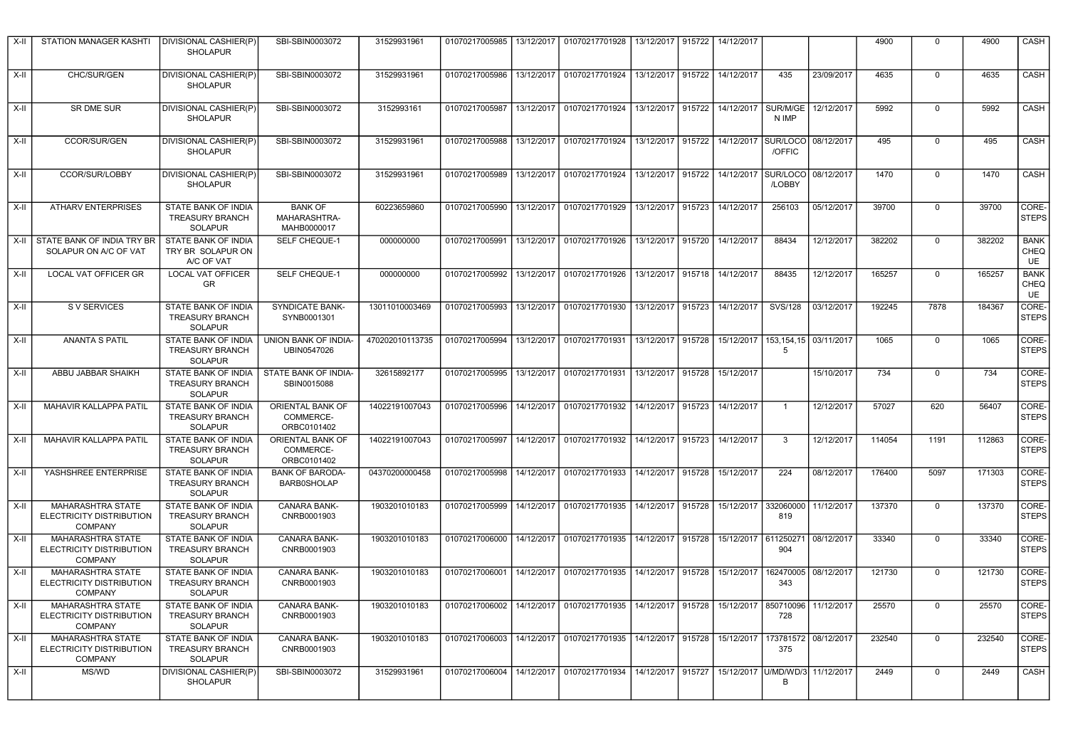| X-II   | STATION MANAGER KASHTI                                                 | <b>DIVISIONAL CASHIER(P)</b><br><b>SHOLAPUR</b>                        | SBI-SBIN0003072                               | 31529931961     | 01070217005985 |            | 13/12/2017   01070217701928              | 13/12/2017   915722 |        | 14/12/2017                            |                    |                           | 4900   | $\Omega$    | 4900   | CASH                             |
|--------|------------------------------------------------------------------------|------------------------------------------------------------------------|-----------------------------------------------|-----------------|----------------|------------|------------------------------------------|---------------------|--------|---------------------------------------|--------------------|---------------------------|--------|-------------|--------|----------------------------------|
| X-II   | CHC/SUR/GEN                                                            | DIVISIONAL CASHIER(P)<br><b>SHOLAPUR</b>                               | SBI-SBIN0003072                               | 31529931961     | 01070217005986 | 13/12/2017 | 01070217701924                           | 13/12/2017 915722   |        | 14/12/2017                            | 435                | 23/09/2017                | 4635   | $\Omega$    | 4635   | CASH                             |
| X-II   | SR DME SUR                                                             | DIVISIONAL CASHIER(P)<br><b>SHOLAPUR</b>                               | SBI-SBIN0003072                               | 3152993161      | 01070217005987 |            | 13/12/2017 01070217701924                | 13/12/2017 915722   |        | 14/12/2017                            | SUR/M/GE<br>N IMP  | 12/12/2017                | 5992   | $\Omega$    | 5992   | CASH                             |
| $X-II$ | <b>CCOR/SUR/GEN</b>                                                    | DIVISIONAL CASHIER(P)<br><b>SHOLAPUR</b>                               | SBI-SBIN0003072                               | 31529931961     |                |            | 01070217005988 13/12/2017 01070217701924 |                     |        | 13/12/2017 915722 14/12/2017 SUR/LOCO | /OFFIC             | 08/12/2017                | 495    | $\Omega$    | 495    | CASH                             |
| $X-H$  | CCOR/SUR/LOBBY                                                         | DIVISIONAL CASHIER(P)<br><b>SHOLAPUR</b>                               | SBI-SBIN0003072                               | 31529931961     |                |            | 01070217005989 13/12/2017 01070217701924 | 13/12/2017 915722   |        | 14/12/2017                            | SUR/LOCO<br>/LOBBY | 08/12/2017                | 1470   | $\mathbf 0$ | 1470   | CASH                             |
| $X-II$ | <b>ATHARV ENTERPRISES</b>                                              | STATE BANK OF INDIA<br><b>TREASURY BRANCH</b><br>SOLAPUR               | <b>BANK OF</b><br>MAHARASHTRA-<br>MAHB0000017 | 60223659860     | 01070217005990 | 13/12/2017 | 01070217701929                           | 13/12/2017 915723   |        | 14/12/2017                            | 256103             | 05/12/2017                | 39700  | $\Omega$    | 39700  | CORE-<br><b>STEPS</b>            |
| $X-H$  | STATE BANK OF INDIA TRY BR<br>SOLAPUR ON A/C OF VAT                    | STATE BANK OF INDIA<br>TRY BR SOLAPUR ON<br>A/C OF VAT                 | <b>SELF CHEQUE-1</b>                          | 000000000       | 01070217005991 | 13/12/2017 | 01070217701926                           | 13/12/2017          | 915720 | 14/12/2017                            | 88434              | 12/12/2017                | 382202 | $\Omega$    | 382202 | <b>BANK</b><br>CHEQ<br><b>UE</b> |
| $X-H$  | <b>LOCAL VAT OFFICER GR</b>                                            | <b>LOCAL VAT OFFICER</b><br><b>GR</b>                                  | SELF CHEQUE-1                                 | 000000000       | 01070217005992 | 13/12/2017 | 01070217701926                           | 13/12/2017 915718   |        | 14/12/2017                            | 88435              | 12/12/2017                | 165257 | $\Omega$    | 165257 | <b>BANK</b><br>CHEQ<br>UE        |
| X-II   | S V SERVICES                                                           | STATE BANK OF INDIA<br><b>TREASURY BRANCH</b><br>SOLAPUR               | SYNDICATE BANK-<br>SYNB0001301                | 13011010003469  | 01070217005993 | 13/12/2017 | 01070217701930                           | 13/12/2017 915723   |        | 14/12/2017                            | SVS/128            | 03/12/2017                | 192245 | 7878        | 184367 | CORE-<br><b>STEPS</b>            |
| X-II   | <b>ANANTA S PATIL</b>                                                  | STATE BANK OF INDIA<br><b>TREASURY BRANCH</b><br><b>SOLAPUR</b>        | <b>UNION BANK OF INDIA-</b><br>UBIN0547026    | 470202010113735 | 01070217005994 | 13/12/2017 | 01070217701931                           | 13/12/2017 915728   |        | 15/12/2017                            | 5                  | 153, 154, 15   03/11/2017 | 1065   | $\Omega$    | 1065   | CORE-<br><b>STEPS</b>            |
| X-II   | ABBU JABBAR SHAIKH                                                     | STATE BANK OF INDIA<br><b>TREASURY BRANCH</b><br><b>SOLAPUR</b>        | STATE BANK OF INDIA-<br>SBIN0015088           | 32615892177     | 01070217005995 | 13/12/2017 | 01070217701931                           | 13/12/2017 915728   |        | 15/12/2017                            |                    | 15/10/2017                | 734    | $\Omega$    | 734    | CORE-<br><b>STEPS</b>            |
| X-II   | MAHAVIR KALLAPPA PATIL                                                 | STATE BANK OF INDIA<br><b>TREASURY BRANCH</b><br><b>SOLAPUR</b>        | ORIENTAL BANK OF<br>COMMERCE-<br>ORBC0101402  | 14022191007043  | 01070217005996 | 14/12/2017 | 01070217701932                           | 14/12/2017 915723   |        | 14/12/2017                            | $\overline{1}$     | 12/12/2017                | 57027  | 620         | 56407  | CORE-<br><b>STEPS</b>            |
| $X-II$ | MAHAVIR KALLAPPA PATIL                                                 | <b>STATE BANK OF INDIA</b><br><b>TREASURY BRANCH</b><br><b>SOLAPUR</b> | ORIENTAL BANK OF<br>COMMERCE-<br>ORBC0101402  | 14022191007043  | 01070217005997 | 14/12/2017 | 01070217701932                           | 14/12/2017 915723   |        | 14/12/2017                            | 3                  | 12/12/2017                | 114054 | 1191        | 112863 | CORE-<br><b>STEPS</b>            |
| $X-II$ | YASHSHREE ENTERPRISE                                                   | <b>STATE BANK OF INDIA</b><br><b>TREASURY BRANCH</b><br><b>SOLAPUR</b> | <b>BANK OF BARODA-</b><br>BARB0SHOLAP         | 04370200000458  | 01070217005998 |            | 14/12/2017 01070217701933                | 14/12/2017 915728   |        | 15/12/2017                            | 224                | 08/12/2017                | 176400 | 5097        | 171303 | CORE-<br><b>STEPS</b>            |
| $X-II$ | MAHARASHTRA STATE<br>ELECTRICITY DISTRIBUTION<br><b>COMPANY</b>        | STATE BANK OF INDIA<br><b>TREASURY BRANCH</b><br><b>SOLAPUR</b>        | CANARA BANK-<br>CNRB0001903                   | 1903201010183   | 01070217005999 |            | 14/12/2017 01070217701935                | 14/12/2017 915728   |        | 15/12/2017                            | 332060000<br>819   | 11/12/2017                | 137370 | 0           | 137370 | CORE-<br><b>STEPS</b>            |
| X-II   | MAHARASHTRA STATE<br>ELECTRICITY DISTRIBUTION<br><b>COMPANY</b>        | STATE BANK OF INDIA<br><b>TREASURY BRANCH</b><br>SOLAPUR               | CANARA BANK-<br>CNRB0001903                   | 1903201010183   | 01070217006000 |            | 14/12/2017 01070217701935                | 14/12/2017 915728   |        | 15/12/2017                            | 611250271<br>904   | 08/12/2017                | 33340  | $\Omega$    | 33340  | CORE-<br><b>STEPS</b>            |
| $X-II$ | MAHARASHTRA STATE<br>ELECTRICITY DISTRIBUTION<br><b>COMPANY</b>        | STATE BANK OF INDIA<br><b>TREASURY BRANCH</b><br><b>SOLAPUR</b>        | CANARA BANK-<br>CNRB0001903                   | 1903201010183   | 01070217006001 | 14/12/2017 | 01070217701935                           | 14/12/2017          | 915728 | 15/12/2017                            | 162470005<br>343   | 08/12/2017                | 121730 | $\mathbf 0$ | 121730 | CORE-<br><b>STEPS</b>            |
| $X-II$ | <b>MAHARASHTRA STATE</b><br>ELECTRICITY DISTRIBUTION<br><b>COMPANY</b> | STATE BANK OF INDIA<br><b>TREASURY BRANCH</b><br><b>SOLAPUR</b>        | CANARA BANK-<br>CNRB0001903                   | 1903201010183   | 01070217006002 | 14/12/2017 | 01070217701935                           | 14/12/2017 915728   |        | 15/12/2017                            | 850710096<br>728   | 11/12/2017                | 25570  | $\Omega$    | 25570  | CORE-<br><b>STEPS</b>            |
| $X-II$ | <b>MAHARASHTRA STATE</b><br>ELECTRICITY DISTRIBUTION<br><b>COMPANY</b> | STATE BANK OF INDIA<br><b>TREASURY BRANCH</b><br><b>SOLAPUR</b>        | CANARA BANK-<br>CNRB0001903                   | 1903201010183   | 01070217006003 | 14/12/2017 | 01070217701935                           | 14/12/2017 915728   |        | 15/12/2017                            | 173781572<br>375   | 08/12/2017                | 232540 | $\mathbf 0$ | 232540 | CORE-<br><b>STEPS</b>            |
| $X-II$ | MS/WD                                                                  | DIVISIONAL CASHIER(P)<br><b>SHOLAPUR</b>                               | SBI-SBIN0003072                               | 31529931961     | 01070217006004 | 14/12/2017 | 01070217701934                           | 14/12/2017 915727   |        | 15/12/2017 U/MD/WD/                   | B                  | 11/12/2017                | 2449   | $\Omega$    | 2449   | CASH                             |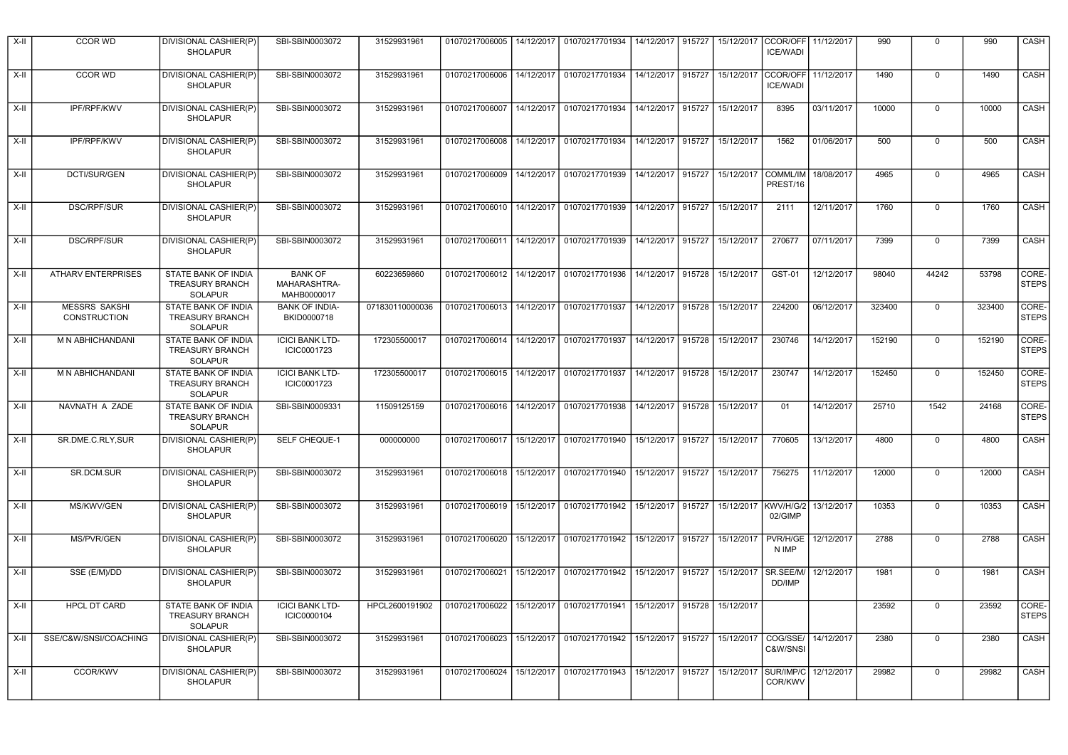| X-II   | <b>CCOR WD</b>                       | DIVISIONAL CASHIER(P)<br><b>SHOLAPUR</b>                               | SBI-SBIN0003072                               | 31529931961     |                             |            | 01070217006005   14/12/2017   01070217701934               | 14/12/2017   915727 |        | 15/12/2017 | CCOR/OFF<br><b>ICE/WADI</b>     | 11/12/2017 | 990    | 0              | 990    | CASH                  |
|--------|--------------------------------------|------------------------------------------------------------------------|-----------------------------------------------|-----------------|-----------------------------|------------|------------------------------------------------------------|---------------------|--------|------------|---------------------------------|------------|--------|----------------|--------|-----------------------|
| X-II   | <b>CCOR WD</b>                       | DIVISIONAL CASHIER(P)<br><b>SHOLAPUR</b>                               | SBI-SBIN0003072                               | 31529931961     | 01070217006006 14/12/2017   |            | 01070217701934                                             | 14/12/2017 915727   |        | 15/12/2017 | CCOR/OFF<br><b>ICE/WADI</b>     | 11/12/2017 | 1490   | $\mathbf 0$    | 1490   | CASH                  |
| X-II   | IPF/RPF/KWV                          | DIVISIONAL CASHIER(P)<br><b>SHOLAPUR</b>                               | SBI-SBIN0003072                               | 31529931961     | 01070217006007              |            | 14/12/2017 01070217701934                                  | 14/12/2017 915727   |        | 15/12/2017 | 8395                            | 03/11/2017 | 10000  | 0              | 10000  | CASH                  |
| $X-H$  | IPF/RPF/KWV                          | DIVISIONAL CASHIER(P)<br><b>SHOLAPUR</b>                               | SBI-SBIN0003072                               | 31529931961     |                             |            | 01070217006008   14/12/2017   01070217701934               | 14/12/2017 915727   |        | 15/12/2017 | 1562                            | 01/06/2017 | 500    | 0              | 500    | CASH                  |
| X-II   | DCTI/SUR/GEN                         | DIVISIONAL CASHIER(P)<br><b>SHOLAPUR</b>                               | SBI-SBIN0003072                               | 31529931961     | 01070217006009   14/12/2017 |            | 01070217701939                                             | 14/12/2017 915727   |        |            | 15/12/2017 COMML/IM<br>PREST/16 | 18/08/2017 | 4965   | 0              | 4965   | CASH                  |
| $X-II$ | DSC/RPF/SUR                          | DIVISIONAL CASHIER(P)<br><b>SHOLAPUR</b>                               | SBI-SBIN0003072                               | 31529931961     | 01070217006010 14/12/2017   |            | 01070217701939                                             | 14/12/2017 915727   |        | 15/12/2017 | 2111                            | 12/11/2017 | 1760   | 0              | 1760   | CASH                  |
| X-II   | <b>DSC/RPF/SUR</b>                   | DIVISIONAL CASHIER(P)<br><b>SHOLAPUR</b>                               | SBI-SBIN0003072                               | 31529931961     | 01070217006011              | 14/12/2017 | 01070217701939                                             | 14/12/2017          | 915727 | 15/12/2017 | 270677                          | 07/11/2017 | 7399   | 0              | 7399   | CASH                  |
| X-II   | <b>ATHARV ENTERPRISES</b>            | STATE BANK OF INDIA<br>TREASURY BRANCH<br><b>SOLAPUR</b>               | <b>BANK OF</b><br>MAHARASHTRA-<br>MAHB0000017 | 60223659860     | 01070217006012 14/12/2017   |            | 01070217701936                                             | 14/12/2017 915728   |        | 15/12/2017 | GST-01                          | 12/12/2017 | 98040  | 44242          | 53798  | CORE-<br><b>STEPS</b> |
| X-II   | <b>MESSRS SAKSHI</b><br>CONSTRUCTION | <b>STATE BANK OF INDIA</b><br>TREASURY BRANCH<br><b>SOLAPUR</b>        | <b>BANK OF INDIA-</b><br>BKID0000718          | 071830110000036 | 01070217006013              | 14/12/2017 | 01070217701937                                             | 14/12/2017 915728   |        | 15/12/2017 | 224200                          | 06/12/2017 | 323400 | $\mathbf 0$    | 323400 | CORE-<br><b>STEPS</b> |
| X-II   | M N ABHICHANDANI                     | STATE BANK OF INDIA<br><b>TREASURY BRANCH</b><br><b>SOLAPUR</b>        | <b>ICICI BANK LTD-</b><br>ICIC0001723         | 172305500017    | 01070217006014   14/12/2017 |            | 01070217701937                                             | 14/12/2017 915728   |        | 15/12/2017 | 230746                          | 14/12/2017 | 152190 | $\mathbf 0$    | 152190 | CORE-<br><b>STEPS</b> |
| X-II   | M N ABHICHANDANI                     | <b>STATE BANK OF INDIA</b><br><b>TREASURY BRANCH</b><br><b>SOLAPUR</b> | <b>ICICI BANK LTD-</b><br>ICIC0001723         | 172305500017    | 01070217006015 14/12/2017   |            | 01070217701937                                             | 14/12/2017 915728   |        | 15/12/2017 | 230747                          | 14/12/2017 | 152450 | $\mathbf 0$    | 152450 | CORE-<br><b>STEPS</b> |
| X-II   | NAVNATH A ZADE                       | STATE BANK OF INDIA<br><b>TREASURY BRANCH</b><br><b>SOLAPUR</b>        | SBI-SBIN0009331                               | 11509125159     |                             |            | 01070217006016   14/12/2017   01070217701938               | 14/12/2017 915728   |        | 15/12/2017 | 01                              | 14/12/2017 | 25710  | 1542           | 24168  | CORE-<br><b>STEPS</b> |
| $X-H$  | SR.DME.C.RLY, SUR                    | DIVISIONAL CASHIER(P)<br><b>SHOLAPUR</b>                               | SELF CHEQUE-1                                 | 000000000       | 01070217006017 15/12/2017   |            | 01070217701940                                             | 15/12/2017 915727   |        | 15/12/2017 | 770605                          | 13/12/2017 | 4800   | $\overline{0}$ | 4800   | CASH                  |
| X-II   | SR.DCM.SUR                           | DIVISIONAL CASHIER(P)<br><b>SHOLAPUR</b>                               | SBI-SBIN0003072                               | 31529931961     | 01070217006018 15/12/2017   |            | 01070217701940                                             | 15/12/2017 915727   |        | 15/12/2017 | 756275                          | 11/12/2017 | 12000  | $\mathbf 0$    | 12000  | CASH                  |
| X-II   | MS/KWV/GEN                           | DIVISIONAL CASHIER(P)<br><b>SHOLAPUR</b>                               | SBI-SBIN0003072                               | 31529931961     | 01070217006019              | 15/12/2017 | 01070217701942                                             | 15/12/2017          | 915727 | 15/12/2017 | KWV/H/G/2<br>02/GIMP            | 13/12/2017 | 10353  | $\mathbf 0$    | 10353  | CASH                  |
| X-II   | MS/PVR/GEN                           | DIVISIONAL CASHIER(P)<br><b>SHOLAPUR</b>                               | SBI-SBIN0003072                               | 31529931961     | 01070217006020              | 15/12/2017 | 01070217701942                                             | 15/12/2017          | 915727 | 15/12/2017 | PVR/H/GE<br>N IMP               | 12/12/2017 | 2788   | $\mathbf 0$    | 2788   | CASH                  |
| X-II   | SSE (E/M)/DD                         | DIVISIONAL CASHIER(P)<br><b>SHOLAPUR</b>                               | SBI-SBIN0003072                               | 31529931961     | 01070217006021              | 15/12/2017 | 01070217701942                                             | 15/12/2017 915727   |        | 15/12/2017 | SR.SEE/M/<br>DD/IMP             | 12/12/2017 | 1981   | $\mathbf 0$    | 1981   | CASH                  |
| X-II   | <b>HPCL DT CARD</b>                  | STATE BANK OF INDIA<br><b>TREASURY BRANCH</b><br><b>SOLAPUR</b>        | <b>ICICI BANK LTD-</b><br>ICIC0000104         | HPCL2600191902  | 01070217006022              | 15/12/2017 | 01070217701941                                             | 15/12/2017 915728   |        | 15/12/2017 |                                 |            | 23592  | $\Omega$       | 23592  | CORE-<br><b>STEPS</b> |
| X-II   | SSE/C&W/SNSI/COACHING                | DIVISIONAL CASHIER(P)<br><b>SHOLAPUR</b>                               | SBI-SBIN0003072                               | 31529931961     |                             |            | 01070217006023   15/12/2017   01070217701942               | 15/12/2017 915727   |        | 15/12/2017 | COG/SSE/<br>C&W/SNSI            | 14/12/2017 | 2380   | $\mathbf 0$    | 2380   | CASH                  |
| X-II   | <b>CCOR/KWV</b>                      | <b>DIVISIONAL CASHIER(P)</b><br><b>SHOLAPUR</b>                        | SBI-SBIN0003072                               | 31529931961     |                             |            | 01070217006024 15/12/2017 01070217701943 15/12/2017 915727 |                     |        | 15/12/2017 | SUR/IMP/C<br>COR/KWV            | 12/12/2017 | 29982  | $\Omega$       | 29982  | CASH                  |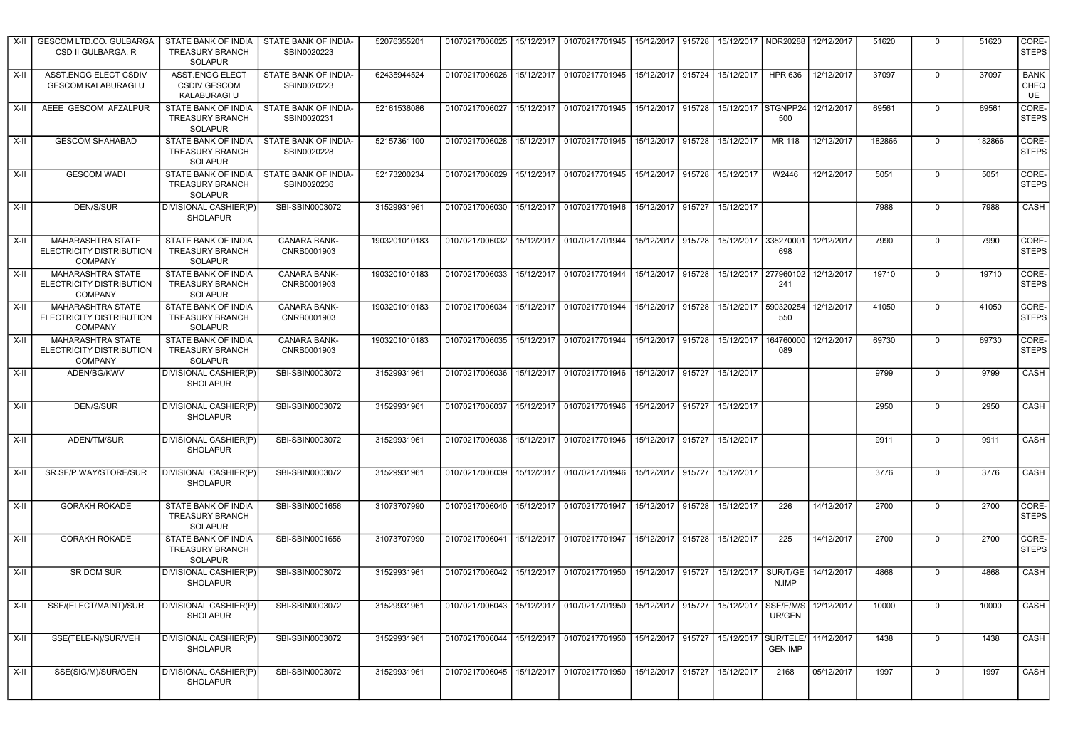| X-II  | GESCOM LTD.CO. GULBARGA<br>CSD II GULBARGA. R                          | STATE BANK OF INDIA<br><b>TREASURY BRANCH</b><br><b>SOLAPUR</b>        | STATE BANK OF INDIA-<br>SBIN0020223 | 52076355201   | 01070217006025   15/12/2017                  |            | 01070217701945   15/12/2017   915728   15/12/2017   NDR20288                                             |                     |        |                      |                            | 12/12/2017 | 51620  | $\mathbf 0$ | 51620  | CORE-<br><b>STEPS</b>     |
|-------|------------------------------------------------------------------------|------------------------------------------------------------------------|-------------------------------------|---------------|----------------------------------------------|------------|----------------------------------------------------------------------------------------------------------|---------------------|--------|----------------------|----------------------------|------------|--------|-------------|--------|---------------------------|
| X-II  | ASST.ENGG ELECT CSDIV<br><b>GESCOM KALABURAGI U</b>                    | <b>ASST.ENGG ELECT</b><br><b>CSDIV GESCOM</b><br>KALABURAGI U          | STATE BANK OF INDIA-<br>SBIN0020223 | 62435944524   | 01070217006026                               |            | 15/12/2017 01070217701945                                                                                | 15/12/2017 915724   |        | 15/12/2017           | <b>HPR 636</b>             | 12/12/2017 | 37097  | $\mathbf 0$ | 37097  | <b>BANK</b><br>CHEQ<br>UE |
| X-II  | AEEE GESCOM AFZALPUR                                                   | STATE BANK OF INDIA<br><b>TREASURY BRANCH</b><br>SOLAPUR               | STATE BANK OF INDIA-<br>SBIN0020231 | 52161536086   |                                              |            | 01070217006027 15/12/2017 01070217701945                                                                 | 15/12/2017 915728   |        |                      | 15/12/2017 STGNPP24<br>500 | 12/12/2017 | 69561  | $\Omega$    | 69561  | CORE-<br><b>STEPS</b>     |
| X-II  | <b>GESCOM SHAHABAD</b>                                                 | STATE BANK OF INDIA<br><b>TREASURY BRANCH</b><br>SOLAPUR               | STATE BANK OF INDIA-<br>SBIN0020228 | 52157361100   |                                              |            | 01070217006028   15/12/2017   01070217701945   15/12/2017   915728                                       |                     |        | 15/12/2017           | MR 118                     | 12/12/2017 | 182866 | $\mathbf 0$ | 182866 | CORE-<br><b>STEPS</b>     |
| X-II  | <b>GESCOM WADI</b>                                                     | STATE BANK OF INDIA<br><b>TREASURY BRANCH</b><br>SOLAPUR               | STATE BANK OF INDIA-<br>SBIN0020236 | 52173200234   |                                              |            | 01070217006029   15/12/2017   01070217701945                                                             | 15/12/2017 915728   |        | 15/12/2017           | W2446                      | 12/12/2017 | 5051   | $\mathbf 0$ | 5051   | CORE-<br><b>STEPS</b>     |
| X-II  | DEN/S/SUR                                                              | <b>DIVISIONAL CASHIER(P)</b><br><b>SHOLAPUR</b>                        | SBI-SBIN0003072                     | 31529931961   |                                              |            | 01070217006030   15/12/2017   01070217701946                                                             | 15/12/2017   915727 |        | 15/12/2017           |                            |            | 7988   | $\Omega$    | 7988   | CASH                      |
| $X-H$ | <b>MAHARASHTRA STATE</b><br>ELECTRICITY DISTRIBUTION<br>COMPANY        | STATE BANK OF INDIA<br><b>TREASURY BRANCH</b><br>SOLAPUR               | CANARA BANK-<br>CNRB0001903         | 1903201010183 | 01070217006032                               | 15/12/2017 | 01070217701944                                                                                           | 15/12/2017          | 915728 | 15/12/2017           | 335270001<br>698           | 12/12/2017 | 7990   | $\mathbf 0$ | 7990   | CORE-<br><b>STEPS</b>     |
| X-II  | MAHARASHTRA STATE<br>ELECTRICITY DISTRIBUTION<br><b>COMPANY</b>        | STATE BANK OF INDIA<br><b>TREASURY BRANCH</b><br><b>SOLAPUR</b>        | CANARA BANK-<br>CNRB0001903         | 1903201010183 | 01070217006033                               |            | 15/12/2017   01070217701944                                                                              | 15/12/2017 915728   |        | 15/12/2017 277960102 | 241                        | 12/12/2017 | 19710  | $\mathbf 0$ | 19710  | CORE-<br><b>STEPS</b>     |
| X-II  | MAHARASHTRA STATE<br><b>ELECTRICITY DISTRIBUTION</b><br><b>COMPANY</b> | STATE BANK OF INDIA<br><b>TREASURY BRANCH</b><br>SOLAPUR               | CANARA BANK-<br>CNRB0001903         | 1903201010183 |                                              |            | 01070217006034   15/12/2017   01070217701944                                                             | 15/12/2017 915728   |        | 15/12/2017 590320254 | 550                        | 12/12/2017 | 41050  | $\Omega$    | 41050  | CORE-<br><b>STEPS</b>     |
| X-II  | <b>MAHARASHTRA STATE</b><br>ELECTRICITY DISTRIBUTION<br><b>COMPANY</b> | <b>STATE BANK OF INDIA</b><br><b>TREASURY BRANCH</b><br><b>SOLAPUR</b> | CANARA BANK-<br>CNRB0001903         | 1903201010183 |                                              |            | 01070217006035 15/12/2017 01070217701944                                                                 | 15/12/2017 915728   |        | 15/12/2017           | 164760000<br>089           | 12/12/2017 | 69730  | $\Omega$    | 69730  | CORE-<br><b>STEPS</b>     |
| X-II  | ADEN/BG/KWV                                                            | DIVISIONAL CASHIER(P)<br><b>SHOLAPUR</b>                               | SBI-SBIN0003072                     | 31529931961   |                                              |            | 01070217006036   15/12/2017   01070217701946                                                             | 15/12/2017 915727   |        | 15/12/2017           |                            |            | 9799   | $\mathbf 0$ | 9799   | CASH                      |
| X-II  | DEN/S/SUR                                                              | DIVISIONAL CASHIER(P)<br><b>SHOLAPUR</b>                               | SBI-SBIN0003072                     | 31529931961   |                                              |            | 01070217006037   15/12/2017   01070217701946                                                             | 15/12/2017 915727   |        | 15/12/2017           |                            |            | 2950   | $\mathbf 0$ | 2950   | CASH                      |
| X-II  | ADEN/TM/SUR                                                            | DIVISIONAL CASHIER(P)<br><b>SHOLAPUR</b>                               | SBI-SBIN0003072                     | 31529931961   |                                              |            | 01070217006038   15/12/2017   01070217701946                                                             | 15/12/2017 915727   |        | 15/12/2017           |                            |            | 9911   | $\mathbf 0$ | 9911   | CASH                      |
| $X-H$ | SR.SE/P.WAY/STORE/SUR                                                  | <b>DIVISIONAL CASHIER(P)</b><br><b>SHOLAPUR</b>                        | SBI-SBIN0003072                     | 31529931961   |                                              |            | 01070217006039   15/12/2017   01070217701946                                                             | 15/12/2017 915727   |        | 15/12/2017           |                            |            | 3776   | $\mathbf 0$ | 3776   | CASH                      |
| X-II  | <b>GORAKH ROKADE</b>                                                   | STATE BANK OF INDIA<br><b>TREASURY BRANCH</b><br><b>SOLAPUR</b>        | SBI-SBIN0001656                     | 31073707990   |                                              |            | 01070217006040   15/12/2017   01070217701947                                                             | 15/12/2017 915728   |        | 15/12/2017           | 226                        | 14/12/2017 | 2700   | $\mathbf 0$ | 2700   | CORE-<br><b>STEPS</b>     |
| X-II  | <b>GORAKH ROKADE</b>                                                   | STATE BANK OF INDIA<br><b>TREASURY BRANCH</b><br><b>SOLAPUR</b>        | SBI-SBIN0001656                     | 31073707990   | 01070217006041                               | 15/12/2017 | 01070217701947                                                                                           | 15/12/2017          | 915728 | 15/12/2017           | 225                        | 14/12/2017 | 2700   | $\mathbf 0$ | 2700   | CORE-<br><b>STEPS</b>     |
| $X-H$ | SR DOM SUR                                                             | DIVISIONAL CASHIER(P)<br><b>SHOLAPUR</b>                               | SBI-SBIN0003072                     | 31529931961   | 01070217006042   15/12/2017   01070217701950 |            |                                                                                                          | 15/12/2017 915727   |        | 15/12/2017           | SUR/T/GE<br>N.IMP          | 14/12/2017 | 4868   | $\mathbf 0$ | 4868   | CASH                      |
| X-II  | SSE/(ELECT/MAINT)/SUR                                                  | DIVISIONAL CASHIER(P<br><b>SHOLAPUR</b>                                | SBI-SBIN0003072                     | 31529931961   |                                              |            | 01070217006043   15/12/2017   01070217701950   15/12/2017   915727   15/12/2017   SSE/E/M/S   12/12/2017 |                     |        |                      | UR/GEN                     |            | 10000  |             | 10000  | <b>CASH</b>               |
| X-II  | SSE(TELE-N)/SUR/VEH                                                    | DIVISIONAL CASHIER(P)<br>SHOLAPUR                                      | SBI-SBIN0003072                     | 31529931961   |                                              |            | 01070217006044   15/12/2017   01070217701950   15/12/2017   915727   15/12/2017   SUR/TELE/              |                     |        |                      | <b>GEN IMP</b>             | 11/12/2017 | 1438   | $\mathbf 0$ | 1438   | CASH                      |
| X-II  | SSE(SIG/M)/SUR/GEN                                                     | DIVISIONAL CASHIER(P)<br><b>SHOLAPUR</b>                               | SBI-SBIN0003072                     | 31529931961   |                                              |            | 01070217006045   15/12/2017   01070217701950                                                             | 15/12/2017 915727   |        | 15/12/2017           | 2168                       | 05/12/2017 | 1997   | $\mathbf 0$ | 1997   | CASH                      |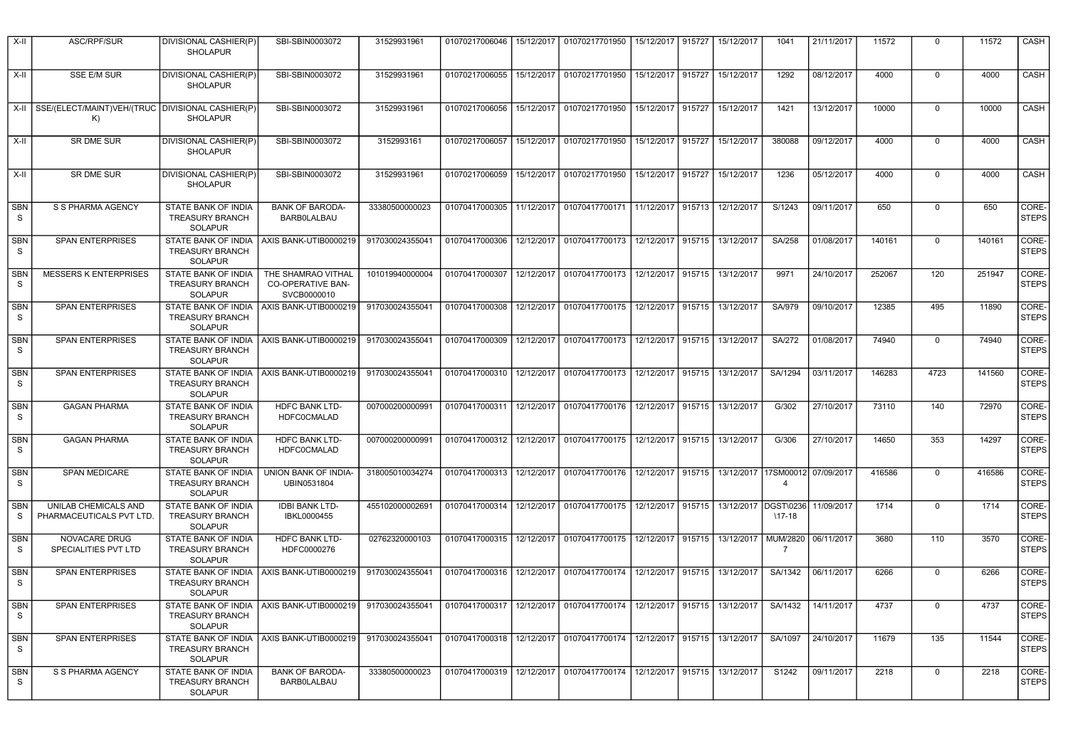| X-II                       | ASC/RPF/SUR                                            | DIVISIONAL CASHIER(P)<br><b>SHOLAPUR</b>                               | SBI-SBIN0003072                                        | 31529931961     | 01070217006046              | 15/12/2017 | 01070217701950                               | 15/12/2017        | 915727 | 15/12/2017           | 1041                 | 21/11/2017 | 11572  | $\mathbf 0$ | 11572  | CASH                  |
|----------------------------|--------------------------------------------------------|------------------------------------------------------------------------|--------------------------------------------------------|-----------------|-----------------------------|------------|----------------------------------------------|-------------------|--------|----------------------|----------------------|------------|--------|-------------|--------|-----------------------|
| $X-H$                      | <b>SSE E/M SUR</b>                                     | DIVISIONAL CASHIER(P)<br><b>SHOLAPUR</b>                               | SBI-SBIN0003072                                        | 31529931961     | 01070217006055              | 15/12/2017 | 01070217701950                               | 15/12/2017 915727 |        | 15/12/2017           | 1292                 | 08/12/2017 | 4000   | $\Omega$    | 4000   | CASH                  |
| X-II                       | SSE/(ELECT/MAINT)VEH/(TRUC DIVISIONAL CASHIER(P)<br>K) | <b>SHOLAPUR</b>                                                        | SBI-SBIN0003072                                        | 31529931961     | 01070217006056              |            | 15/12/2017 01070217701950                    | 15/12/2017 915727 |        | 15/12/2017           | 1421                 | 13/12/2017 | 10000  | $\Omega$    | 10000  | CASH                  |
| $X-II$                     | SR DME SUR                                             | DIVISIONAL CASHIER(P)<br><b>SHOLAPUR</b>                               | SBI-SBIN0003072                                        | 3152993161      |                             |            | 01070217006057 15/12/2017 01070217701950     | 15/12/2017 915727 |        | 15/12/2017           | 380088               | 09/12/2017 | 4000   | $\Omega$    | 4000   | CASH                  |
| X-II                       | <b>SR DME SUR</b>                                      | <b>DIVISIONAL CASHIER(P)</b><br><b>SHOLAPUR</b>                        | SBI-SBIN0003072                                        | 31529931961     | 01070217006059              |            | 15/12/2017 01070217701950                    | 15/12/2017 915727 |        | 15/12/2017           | 1236                 | 05/12/2017 | 4000   | $\Omega$    | 4000   | CASH                  |
| <b>SBN</b><br>S            | S S PHARMA AGENCY                                      | STATE BANK OF INDIA<br><b>TREASURY BRANCH</b><br><b>SOLAPUR</b>        | <b>BANK OF BARODA-</b><br><b>BARBOLALBAU</b>           | 33380500000023  | 01070417000305              | 11/12/2017 | 01070417700171                               | 11/12/2017 915713 |        | 12/12/2017           | S/1243               | 09/11/2017 | 650    | $\Omega$    | 650    | CORE-<br><b>STEPS</b> |
| <b>SBN</b><br>S            | <b>SPAN ENTERPRISES</b>                                | STATE BANK OF INDIA<br><b>TREASURY BRANCH</b><br><b>SOLAPUR</b>        | AXIS BANK-UTIB0000219                                  | 917030024355041 | 01070417000306              |            | 12/12/2017 01070417700173                    | 12/12/2017        | 915715 | 13/12/2017           | SA/258               | 01/08/2017 | 140161 | $\Omega$    | 140161 | CORE-<br><b>STEPS</b> |
| <b>SBN</b><br><sub>S</sub> | <b>MESSERS K ENTERPRISES</b>                           | STATE BANK OF INDIA<br><b>TREASURY BRANCH</b><br><b>SOLAPUR</b>        | THE SHAMRAO VITHAL<br>CO-OPERATIVE BAN-<br>SVCB0000010 | 101019940000004 | 01070417000307              | 12/12/2017 | 01070417700173                               | 12/12/2017 915715 |        | 13/12/2017           | 9971                 | 24/10/2017 | 252067 | 120         | 251947 | CORE-<br><b>STEPS</b> |
| <b>SBN</b><br>S.           | <b>SPAN ENTERPRISES</b>                                | STATE BANK OF INDIA<br>TREASURY BRANCH<br><b>SOLAPUR</b>               | AXIS BANK-UTIB0000219                                  | 917030024355041 | 01070417000308              | 12/12/2017 | 01070417700175 12/12/2017 915715             |                   |        | 13/12/2017           | SA/979               | 09/10/2017 | 12385  | 495         | 11890  | CORE-<br><b>STEPS</b> |
| <b>SBN</b><br>S            | <b>SPAN ENTERPRISES</b>                                | STATE BANK OF INDIA<br><b>TREASURY BRANCH</b><br><b>SOLAPUR</b>        | AXIS BANK-UTIB0000219                                  | 917030024355041 | 01070417000309              | 12/12/2017 | 01070417700173                               | 12/12/2017 915715 |        | 13/12/2017           | <b>SA/272</b>        | 01/08/2017 | 74940  | $\Omega$    | 74940  | CORE-<br><b>STEPS</b> |
| <b>SBN</b><br>$\mathsf S$  | <b>SPAN ENTERPRISES</b>                                | STATE BANK OF INDIA<br><b>TREASURY BRANCH</b><br><b>SOLAPUR</b>        | AXIS BANK-UTIB0000219                                  | 917030024355041 | 01070417000310 12/12/2017   |            | 01070417700173                               | 12/12/2017 915715 |        | 13/12/2017           | SA/1294              | 03/11/2017 | 146283 | 4723        | 141560 | CORE-<br><b>STEPS</b> |
| <b>SBN</b><br>S            | <b>GAGAN PHARMA</b>                                    | <b>STATE BANK OF INDIA</b><br><b>TREASURY BRANCH</b><br><b>SOLAPUR</b> | <b>HDFC BANK LTD-</b><br><b>HDFC0CMALAD</b>            | 007000200000991 | 01070417000311 12/12/2017   |            | 01070417700176                               | 12/12/2017 915715 |        | 13/12/2017           | G/302                | 27/10/2017 | 73110  | 140         | 72970  | CORE-<br><b>STEPS</b> |
| <b>SBN</b><br><sub>S</sub> | <b>GAGAN PHARMA</b>                                    | STATE BANK OF INDIA<br><b>TREASURY BRANCH</b><br><b>SOLAPUR</b>        | <b>HDFC BANK LTD-</b><br><b>HDFC0CMALAD</b>            | 007000200000991 | 01070417000312 12/12/2017   |            | 01070417700175 12/12/2017 915715             |                   |        | 13/12/2017           | G/306                | 27/10/2017 | 14650  | 353         | 14297  | CORE-<br><b>STEPS</b> |
| <b>SBN</b><br>S.           | SPAN MEDICARE                                          | STATE BANK OF INDIA<br><b>TREASURY BRANCH</b><br><b>SOLAPUR</b>        | UNION BANK OF INDIA-<br>UBIN0531804                    | 318005010034274 | 01070417000313 12/12/2017   |            | 01070417700176                               | 12/12/2017 915715 |        | 13/12/2017 17SM0001: | $\overline{4}$       | 07/09/2017 | 416586 | $\Omega$    | 416586 | CORE-<br><b>STEPS</b> |
| <b>SBN</b><br><sub>S</sub> | UNILAB CHEMICALS AND<br>PHARMACEUTICALS PVT LTD.       | STATE BANK OF INDIA<br><b>TREASURY BRANCH</b><br><b>SOLAPUR</b>        | <b>IDBI BANK LTD-</b><br>IBKL0000455                   | 455102000002691 |                             |            | 01070417000314   12/12/2017   01070417700175 | 12/12/2017 915715 |        | 13/12/2017           | DGST\0236<br>$17-18$ | 11/09/2017 | 1714   | $\mathbf 0$ | 1714   | CORE-<br><b>STEPS</b> |
| <b>SBN</b><br>S            | NOVACARE DRUG<br>SPECIALITIES PVT LTD                  | STATE BANK OF INDIA<br><b>TREASURY BRANCH</b><br>SOLAPUR               | <b>HDFC BANK LTD-</b><br>HDFC0000276                   | 02762320000103  |                             |            | 01070417000315   12/12/2017   01070417700175 | 12/12/2017 915715 |        | 13/12/2017           | MUM/2820<br>7        | 06/11/2017 | 3680   | 110         | 3570   | CORE-<br><b>STEPS</b> |
| SBN<br>S.                  | <b>SPAN ENTERPRISES</b>                                | STATE BANK OF INDIA<br><b>TREASURY BRANCH</b><br><b>SOLAPUR</b>        | AXIS BANK-UTIB0000219                                  | 917030024355041 | 01070417000316   12/12/2017 |            | 01070417700174                               | 12/12/2017        | 915715 | 13/12/2017           | SA/1342              | 06/11/2017 | 6266   | 0           | 6266   | CORE-<br><b>STEPS</b> |
| <b>SBN</b><br>S            | <b>SPAN ENTERPRISES</b>                                | <b>STATE BANK OF INDIA</b><br>TREASURY BRANCH<br>SOLAPUR               | AXIS BANK-UTIB0000219                                  | 917030024355041 | 01070417000317 12/12/2017   |            | 01070417700174                               | 12/12/2017 915715 |        | 13/12/2017           | SA/1432              | 14/11/2017 | 4737   | $\Omega$    | 4737   | CORE-<br><b>STEPS</b> |
| <b>SBN</b><br><sub>S</sub> | <b>SPAN ENTERPRISES</b>                                | STATE BANK OF INDIA<br><b>TREASURY BRANCH</b><br><b>SOLAPUR</b>        | AXIS BANK-UTIB0000219                                  | 917030024355041 | 01070417000318 12/12/2017   |            | 01070417700174                               | 12/12/2017 915715 |        | 13/12/2017           | SA/1097              | 24/10/2017 | 11679  | 135         | 11544  | CORE-<br><b>STEPS</b> |
| <b>SBN</b><br>S.           | S S PHARMA AGENCY                                      | STATE BANK OF INDIA<br><b>TREASURY BRANCH</b><br><b>SOLAPUR</b>        | <b>BANK OF BARODA-</b><br><b>BARBOLALBAU</b>           | 33380500000023  | 01070417000319 12/12/2017   |            | 01070417700174                               | 12/12/2017 915715 |        | 13/12/2017           | S1242                | 09/11/2017 | 2218   | $\Omega$    | 2218   | CORE-<br><b>STEPS</b> |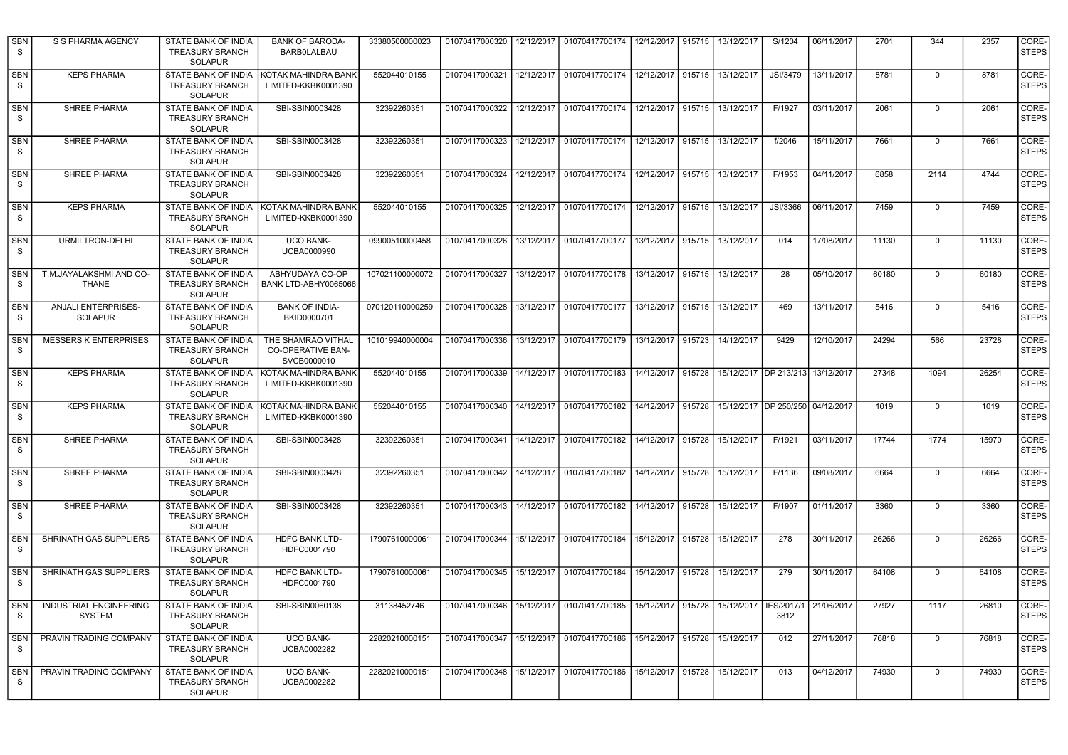| <b>SBN</b><br><sub>S</sub> | S S PHARMA AGENCY                              | STATE BANK OF INDIA<br><b>TREASURY BRANCH</b><br><b>SOLAPUR</b> | <b>BANK OF BARODA-</b><br><b>BARBOLALBAU</b>                  | 33380500000023  | 01070417000320              | 12/12/2017 | 01070417700174                                                     | 12/12/2017          | 915715 | 13/12/2017                           | S/1204             | 06/11/2017 | 2701  | 344         | 2357  | CORE-<br><b>STEPS</b> |
|----------------------------|------------------------------------------------|-----------------------------------------------------------------|---------------------------------------------------------------|-----------------|-----------------------------|------------|--------------------------------------------------------------------|---------------------|--------|--------------------------------------|--------------------|------------|-------|-------------|-------|-----------------------|
| SBN<br>-S                  | <b>KEPS PHARMA</b>                             | STATE BANK OF INDIA<br><b>TREASURY BRANCH</b><br><b>SOLAPUR</b> | KOTAK MAHINDRA BANK<br>LIMITED-KKBK0001390                    | 552044010155    | 01070417000321              | 12/12/2017 | 01070417700174                                                     | 12/12/2017          | 915715 | 13/12/2017                           | JSI/3479           | 13/11/2017 | 8781  | $\mathbf 0$ | 8781  | CORE-<br><b>STEPS</b> |
| <b>SBN</b><br>S            | SHREE PHARMA                                   | STATE BANK OF INDIA<br><b>TREASURY BRANCH</b><br><b>SOLAPUR</b> | SBI-SBIN0003428                                               | 32392260351     | 01070417000322              |            | 12/12/2017 01070417700174                                          | 12/12/2017 915715   |        | 13/12/2017                           | F/1927             | 03/11/2017 | 2061  | $\Omega$    | 2061  | CORE-<br><b>STEPS</b> |
| <b>SBN</b><br>S            | <b>SHREE PHARMA</b>                            | STATE BANK OF INDIA<br><b>TREASURY BRANCH</b><br>SOLAPUR        | SBI-SBIN0003428                                               | 32392260351     |                             |            | 01070417000323   12/12/2017   01070417700174                       | 12/12/2017 915715   |        | 13/12/2017                           | f/2046             | 15/11/2017 | 7661  | $\mathbf 0$ | 7661  | CORE-<br><b>STEPS</b> |
| SBN<br>S                   | <b>SHREE PHARMA</b>                            | STATE BANK OF INDIA<br><b>TREASURY BRANCH</b><br>SOLAPUR        | SBI-SBIN0003428                                               | 32392260351     |                             |            | 01070417000324   12/12/2017   01070417700174   12/12/2017   915715 |                     |        | 13/12/2017                           | F/1953             | 04/11/2017 | 6858  | 2114        | 4744  | CORE-<br><b>STEPS</b> |
| <b>SBN</b><br>S            | <b>KEPS PHARMA</b>                             | STATE BANK OF INDIA<br><b>TREASURY BRANCH</b><br>SOLAPUR        | KOTAK MAHINDRA BANK<br>LIMITED-KKBK0001390                    | 552044010155    | 01070417000325              | 12/12/2017 | 01070417700174                                                     | 12/12/2017          | 915715 | 13/12/2017                           | JSI/3366           | 06/11/2017 | 7459  | $\mathbf 0$ | 7459  | CORE-<br><b>STEPS</b> |
| <b>SBN</b><br>S            | URMILTRON-DELHI                                | <b>STATE BANK OF INDIA</b><br><b>TREASURY BRANCH</b><br>SOLAPUR | <b>UCO BANK-</b><br>UCBA0000990                               | 09900510000458  | 01070417000326              |            | 13/12/2017 01070417700177                                          | 13/12/2017          | 915715 | 13/12/2017                           | 014                | 17/08/2017 | 11130 | $\mathbf 0$ | 11130 | CORE-<br><b>STEPS</b> |
| <b>SBN</b><br>S            | T.M.JAYALAKSHMI AND CO-<br><b>THANE</b>        | STATE BANK OF INDIA<br><b>TREASURY BRANCH</b><br><b>SOLAPUR</b> | ABHYUDAYA CO-OP<br>BANK LTD-ABHY0065066                       | 107021100000072 | 01070417000327              | 13/12/2017 | 01070417700178                                                     | 13/12/2017          | 915715 | 13/12/2017                           | 28                 | 05/10/2017 | 60180 | $\mathbf 0$ | 60180 | CORE-<br><b>STEPS</b> |
| <b>SBN</b><br>-S           | <b>ANJALI ENTERPRISES-</b><br><b>SOLAPUR</b>   | STATE BANK OF INDIA<br><b>TREASURY BRANCH</b><br><b>SOLAPUR</b> | <b>BANK OF INDIA-</b><br>BKID0000701                          | 070120110000259 | 01070417000328              | 13/12/2017 | 01070417700177                                                     | 13/12/2017          | 915715 | 13/12/2017                           | 469                | 13/11/2017 | 5416  | 0           | 5416  | CORE-<br><b>STEPS</b> |
| <b>SBN</b><br>S            | <b>MESSERS K ENTERPRISES</b>                   | STATE BANK OF INDIA<br><b>TREASURY BRANCH</b><br><b>SOLAPUR</b> | THE SHAMRAO VITHAL<br><b>CO-OPERATIVE BAN-</b><br>SVCB0000010 | 101019940000004 | 01070417000336              | 13/12/2017 | 01070417700179                                                     | 13/12/2017 915723   |        | 14/12/2017                           | 9429               | 12/10/2017 | 24294 | 566         | 23728 | CORE-<br><b>STEPS</b> |
| <b>SBN</b><br>S            | <b>KEPS PHARMA</b>                             | STATE BANK OF INDIA<br><b>TREASURY BRANCH</b><br><b>SOLAPUR</b> | KOTAK MAHINDRA BANK<br>LIMITED-KKBK0001390                    | 552044010155    | 01070417000339              |            | 14/12/2017 01070417700183                                          | 14/12/2017   915728 |        | 15/12/2017   DP 213/213   13/12/2017 |                    |            | 27348 | 1094        | 26254 | CORE-<br><b>STEPS</b> |
| <b>SBN</b><br>S            | <b>KEPS PHARMA</b>                             | STATE BANK OF INDIA<br><b>TREASURY BRANCH</b><br>SOLAPUR        | KOTAK MAHINDRA BANK<br>LIMITED-KKBK0001390                    | 552044010155    | 01070417000340              | 14/12/2017 | 01070417700182                                                     | 14/12/2017 915728   |        | 15/12/2017 DP 250/250 04/12/2017     |                    |            | 1019  | 0           | 1019  | CORE-<br><b>STEPS</b> |
| <b>SBN</b><br>S            | <b>SHREE PHARMA</b>                            | STATE BANK OF INDIA<br>TREASURY BRANCH<br>SOLAPUR               | SBI-SBIN0003428                                               | 32392260351     |                             |            | 01070417000341   14/12/2017   01070417700182                       | 14/12/2017 915728   |        | 15/12/2017                           | F/1921             | 03/11/2017 | 17744 | 1774        | 15970 | CORE-<br><b>STEPS</b> |
| SBN<br>S                   | SHREE PHARMA                                   | STATE BANK OF INDIA<br><b>TREASURY BRANCH</b><br>SOLAPUR        | SBI-SBIN0003428                                               | 32392260351     | 01070417000342              | 14/12/2017 | 01070417700182                                                     | 14/12/2017 915728   |        | 15/12/2017                           | F/1136             | 09/08/2017 | 6664  | $\mathbf 0$ | 6664  | CORE-<br><b>STEPS</b> |
| SBN<br>S                   | SHREE PHARMA                                   | STATE BANK OF INDIA<br><b>TREASURY BRANCH</b><br><b>SOLAPUR</b> | SBI-SBIN0003428                                               | 32392260351     | 01070417000343              | 14/12/2017 | 01070417700182                                                     | 14/12/2017          | 915728 | 15/12/2017                           | F/1907             | 01/11/2017 | 3360  | $\mathbf 0$ | 3360  | CORE-<br><b>STEPS</b> |
| <b>SBN</b><br>S            | SHRINATH GAS SUPPLIERS                         | <b>STATE BANK OF INDIA</b><br>TREASURY BRANCH<br>SOLAPUR        | HDFC BANK LTD-<br>HDFC0001790                                 | 17907610000061  | 01070417000344              | 15/12/2017 | 01070417700184                                                     | 15/12/2017          | 915728 | 15/12/2017                           | 278                | 30/11/2017 | 26266 | $\Omega$    | 26266 | CORE-<br><b>STEPS</b> |
| <b>SBN</b><br><sub>S</sub> | SHRINATH GAS SUPPLIERS                         | <b>STATE BANK OF INDIA</b><br><b>TREASURY BRANCH</b><br>SOLAPUR | <b>HDFC BANK LTD-</b><br>HDFC0001790                          | 17907610000061  | 01070417000345   15/12/2017 |            | 01070417700184                                                     | 15/12/2017          | 915728 | 15/12/2017                           | 279                | 30/11/2017 | 64108 | $\mathbf 0$ | 64108 | CORE-<br><b>STEPS</b> |
| <b>SBN</b><br>S.           | <b>INDUSTRIAL ENGINEERING</b><br><b>SYSTEM</b> | STATE BANK OF INDIA<br><b>TREASURY BRANCH</b><br>SOLAPUR        | SBI-SBIN0060138                                               | 31138452746     | 01070417000346              | 15/12/2017 | 01070417700185                                                     | 15/12/2017 915728   |        | 15/12/2017                           | IES/2017/1<br>3812 | 21/06/2017 | 27927 | 1117        | 26810 | CORE-<br><b>STEPS</b> |
| <b>SBN</b><br><sub>S</sub> | PRAVIN TRADING COMPANY                         | STATE BANK OF INDIA<br><b>TREASURY BRANCH</b><br><b>SOLAPUR</b> | <b>UCO BANK-</b><br>UCBA0002282                               | 22820210000151  | 01070417000347              | 15/12/2017 | 01070417700186                                                     | 15/12/2017 915728   |        | 15/12/2017                           | 012                | 27/11/2017 | 76818 | $\mathbf 0$ | 76818 | CORE-<br><b>STEPS</b> |
| <b>SBN</b><br>S.           | PRAVIN TRADING COMPANY                         | STATE BANK OF INDIA<br><b>TREASURY BRANCH</b><br><b>SOLAPUR</b> | <b>UCO BANK-</b><br>UCBA0002282                               | 22820210000151  | 01070417000348              | 15/12/2017 | 01070417700186                                                     | 15/12/2017          | 915728 | 15/12/2017                           | 013                | 04/12/2017 | 74930 | $\Omega$    | 74930 | CORE-<br><b>STEPS</b> |